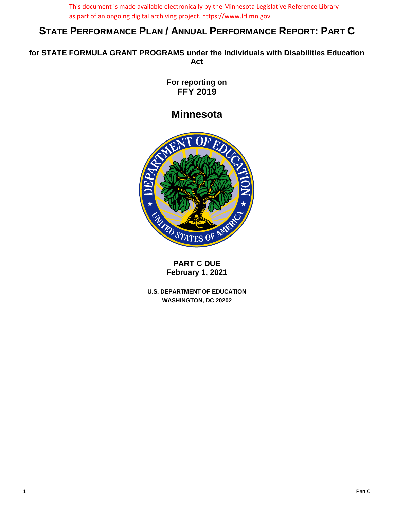This document is made available electronically by the Minnesota Legislative Reference Library as part of an ongoing digital archiving project. https://www.lrl.mn.gov

# **STATE PERFORMANCE PLAN / ANNUAL PERFORMANCE REPORT: PART C**

**for STATE FORMULA GRANT PROGRAMS under the Individuals with Disabilities Education Act** 

> **For reporting on FFY 2019**

**Minnesota** 



**PART C DUE February 1, 2021**

**U.S. DEPARTMENT OF EDUCATION WASHINGTON, DC 20202**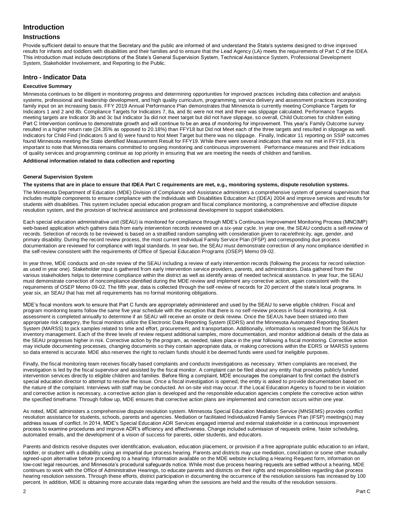# **Introduction**

## **Instructions**

Provide sufficient detail to ensure that the Secretary and the public are informed of and understand the State's systems designed to drive improved results for infants and toddlers with disabilities and their families and to ensure that the Lead Agency (LA) meets the requirements of Part C of the IDEA. This introduction must include descriptions of the State's General Supervision System, Technical Assistance System, Professional Development System, Stakeholder Involvement, and Reporting to the Public.

# **Intro - Indicator Data**

#### **Executive Summary**

Minnesota continues to be diligent in monitoring progress and determining opportunities for improved practices including data collection and analysis systems, professional and leadership development, and high quality curriculum, programming, service delivery and assessment practices incorporating family input on an increasing basis. FFY 2019 Annual Performance Plan demonstrates that Minnesota is currently meeting Compliance Targets for Indicators 1 and 2 and 8b. Compliance Targets for Indicators 7, 8a, and 8c were not met and there was slippage calculated. Performance Targets meeting targets are Indicator 3b and 3c but Indicator 3a did not meet target but did not have slippage, so overall, Child Outcomes for children exiting Part C Intervention continue to demonstrate growth and will continue to be an area of monitoring for improvement. This year's Family Outcome survey resulted in a higher return rate (24.35% as opposed to 20.18%) than FFY18 but Did not Meet each of the three targets and resulted in slippage as well. Indicators for Child Find (Indicators 5 and 6) were found to Not Meet Target but there was no slippage. Finally, Indicator 11 reporting on SSIP outcomes found Minnesota meeting the State identified Measurement Result for FFY19. While there were several indicators that were not met in FFY19, it is important to note that Minnesota remains committed to ongoing monitoring and continuous improvement. Performance measures and their indications of quality services and programming continue as top priority in ensuring that we are meeting the needs of children and families.

#### **Additional information related to data collection and reporting**

#### **General Supervision System**

#### **The systems that are in place to ensure that IDEA Part C requirements are met, e.g., monitoring systems, dispute resolution systems.**

The Minnesota Department of Education (MDE) Division of Compliance and Assistance administers a comprehensive system of general supervision that includes multiple components to ensure compliance with the Individuals with Disabilities Education Act (IDEA) 2004 and improve services and results for students with disabilities. This system includes special education program and fiscal compliance monitoring, a comprehensive and effective dispute resolution system, and the provision of technical assistance and professional development to support stakeholders.

Each special education administrative unit (SEAU) is monitored for compliance through MDE's Continuous Improvement Monitoring Process (MNCIMP) web-based application which gathers data from early intervention records reviewed on a six-year cycle. In year one, the SEAU conducts a self-review of records. Selection of records to be reviewed is based on a stratified random sampling with consideration given to race/ethnicity, age, gender, and primary disability. During the record review process, the most current Individual Family Service Plan (IFSP) and corresponding due process documentation are reviewed for compliance with legal standards. In year two, the SEAU must demonstrate correction of any nonc ompliance identified in the self-review consistent with the requirements of Office of Special Education Programs (OSEP) Memo 09-02.

In year three, MDE conducts and on-site review of the SEAU including a review of early intervention records (following the process for record selection as used in year one). Stakeholder input is gathered from early intervention service providers, parents, and administrators. Data gathered from the various stakeholders helps to determine compliance within the district as well as identify areas of needed technical assistance. In year four, the SEAU must demonstrate correction of noncompliance identified during the MDE review and implement any corrective action, again consistent with the requirements of OSEP Memo 09-02. The fifth year, data is collected through the self-review of records for 20 percent of the state's local programs. In year six, an SEAU that has met all requirements has no formal monitoring obligations.

MDE's fiscal monitors work to ensure that Part C funds are appropriately administered and used by the SEAU to serve eligible children. Fiscal and program monitoring teams follow the same five year schedule with the exception that there is no self-review process in fiscal monitoring. A risk assessment is completed annually to determine if an SEAU will receive an onsite or desk review. Once the SEAUs have been striated into their appropriate risk category, the fiscal monitors utilize the Electronic Data Reporting System (EDRS) and the Minnesota Automated Reporting Student System (MARSS) to pick samples related to time and effort, procurement, and transportation. Additionally, information is requested from the SEAUs for inventory management. Each of the three levels of review request additional samples, more documentation, and monitor additional details of the data as the SEAU progresses higher in risk. Corrective action by the program, as needed, takes place in the year following a fiscal monitoring. Corrective action may include documenting processes, changing documents so they contain appropriate data, or making corrections within the EDRS or MARSS systems so data entered is accurate. MDE also reserves the right to reclaim funds should it be deemed funds were used for ineligible purposes.

Finally, the fiscal monitoring team receives fiscally based complaints and conducts investigations as necessary. When complaints are received, the investigation is led by the fiscal supervisor and assisted by the fiscal monitor. A complaint can be filed about any entity that provides publicly funded intervention services directly to eligible children and families. Before filing a complaint, MDE encourages the complainant to first contact the district's special education director to attempt to resolve the issue. Once a fiscal investigation is opened, the entity is asked to provide documentation based on the nature of the complaint. Interviews with staff may be conducted. An on-site visit may occur. If the Local Education Agency is found to be in violation and corrective action is necessary, a corrective action plan is developed and the responsible education agencies complete the corrective action within the specified timeframe. Through follow up, MDE ensures that corrective action plans are implemented and correction occurs within one year.

As noted, MDE administers a comprehensive dispute resolution system. Minnesota Special Education Mediation Service (MNSEMS) provides conflict resolution assistance for students, schools, parents and agencies. Mediation or facilitated Individualized Family Services Plan (IFSP) meetings(s) may address issues of conflict. In 2014, MDE's Special Education ADR Services engaged internal and external stakeholder in a continuous improvement process to examine procedures and improve ADR's efficiency and effectiveness. Change included submission of requests online, faster scheduling, automated emails, and the development of a vision of success for parents, older students, and educators.

Parents and districts resolve disputes over identification, evaluation, education placement, or provision if a free appropriate public education to an infant, toddler, or student with a disability using an impartial due process hearing. Parents and districts may use mediation, conciliation or some other mutually agreed-upon alternative before proceeding to a hearing. Information available on the MDE website including a Hearing Request form, information on low-cost legal resources, and Minnesota's procedural safeguards notice. While most due process hearing requests are settled without a hearing, MDE continues to work with the Office of Administrative Hearings, to educate parents and districts on their rights and responsibilities regarding due process hearing resolution sessions. Through these efforts, district participation in documenting the occurrence of the resolution sessions has increased by 100 percent. In addition, MDE is obtaining more accurate data regarding when the sessions are held and the results of the resolution sessions .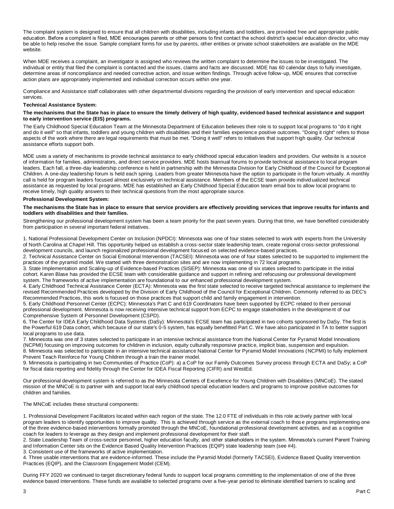The complaint system is designed to ensure that all children with disabilities, including infants and toddlers, are provided free and appropriate public education. Before a complaint is filed, MDE encourages parents or other persons to first contact the school district's special education director, who may be able to help resolve the issue. Sample complaint forms for use by parents, other entities or private school stakeholders are available on the MDE website.

When MDE receives a complaint, an investigator is assigned who reviews the written complaint to determine the issues to be investigated. The individual or entity that filed the complaint is contacted and the issues, claims and facts are discussed. MDE has 60 calendar days to fully investigate, determine areas of noncompliance and needed corrective action, and issue written findings. Through active follow-up, MDE ensures that corrective action plans are appropriately implemented and individual correction occurs within one year.

Compliance and Assistance staff collaborates with other departmental divisions regarding the provision of early intervention and special education services.

#### **Technical Assistance System:**

#### **The mechanisms that the State has in place to ensure the timely delivery of high quality, evidenced based technical assistance and support to early intervention service (EIS) programs.**

The Early Childhood Special Education Team at the Minnesota Department of Education believes their role is to support local programs to "do it right and do it well" so that infants, toddlers and young children with disabilities and their families experience positive outcomes. "Doing it right" refers to those aspects of the work where there are legal requirements that must be met. "Doing it well" refers to initiatives that support high quality. Our technical assistance efforts support both.

MDE uses a variety of mechanisms to provide technical assistance to early childhood special education leaders and providers. Our website is a source of information for families, administrators, and direct service providers. MDE hosts biannual forums to provide technical assistance to local program leaders. Each fall, a three-day leadership conference is held in partnership with the Minnesota Division for Early Childhood of the Council for Exceptional Children. A one-day leadership forum is held each spring. Leaders from greater Minnesota have the option to participate in the forum virtually. A monthly call is held for program leaders focused almost exclusively on technical assistance. Members of the ECSE team provide individualized technical assistance as requested by local programs. MDE has established an Early Childhood Special Education team email box to allow local programs to receive timely, high quality answers to their technical questions from the most appropriate source.

#### **Professional Development System:**

#### **The mechanisms the State has in place to ensure that service providers are effectively providing services that improve results for infants and toddlers with disabilities and their families.**

Strengthening our professional development system has been a team priority for the past seven years. During that time, we have benefited considerably from participation in several important federal initiatives.

1. National Professional Development Center on Inclusion (NPDCI): Minnesota was one of four states selected to work with experts from the University of North Carolina at Chapel Hill. This opportunity helped us establish a cross-sector state leadership team, create regional cross-sector professional development councils, and launch regionalized professional development focused on selected evidence-based practices.

2. Technical Assistance Center on Social Emotional Intervention (TACSEI): Minnesota was one of four states selected to be supported to implement the practices of the pyramid model. We started with three demonstration sites and are now implementing in 72 local programs.

3. State Implementation and Scaling-up of Evidence-based Practices (SISEP): Minnesota was one of six states selected to participate in the initial cohort. Karen Blase has provided the ECSE team with considerable guidance and support in refining and refocusing our professional development system. The frameworks of active implementation are foundational to our enhanced professional development system.

4. Early Childhood Technical Assistance Center (ECTA): Minnesota was the first state selected to receive targeted technical assistance to implement the revised Recommended Practices developed by the Division of Early Childhood of the Council for Exceptional Children. Commonly referred to as DEC's Recommended Practices, this work is focused on those practices that support child and family engagement in intervention.

5. Early Childhood Personnel Center (ECPC): Minnesota's Part C and 619 Coordinators have been supported by ECPC related to their personal professional development. Minnesota is now receiving intensive technical support from ECPC to engage stakeholders in the development of our Comprehensive System of Personnel Development (CSPD).

6. The Center for IDEA Early Childhood Data Systems (DaSy): Minnesota's ECSE team has participated in two cohorts sponsored by DaSy. The first is the Powerful 619 Data cohort, which because of our state's 0-5 system, has equally benefitted Part C. We have also participated in TA to better support local programs to use data.

7. Minnesota was one of 3 states selected to participate in an intensive technical assistance from the National Center for Pyramid Model Innovations (NCPMI) focusing on improving outcomes for children in inclusion, equity culturally responsive practice, implicit bias, suspension and expulsion. 8. Minnesota was selected to participate in an intensive technical assistance National Center for Pyramid Model Innovations (NCPMI) to fully implement Prevent Teach Reinforce for Young Children through a train the trainer model.

9. Minnesota is participating in two Communities of Practice (CoP): a) a CoP for our Family Outcomes Survey process through ECTA and DaSy; a CoP for fiscal data reporting and fidelity through the Center for IDEA Fiscal Reporting (CIFR) and WestEd.

Our professional development system is referred to as the Minnesota Centers of Excellence for Young Children with Disabilities (MNCoE). The stated mission of the MNCoE is to partner with and support local early childhood special education leaders and programs to improve positive outcomes for children and families.

The MNCoE includes these structural components:

1. Professional Development Facilitators located within each region of the state. The 12.0 FTE of individuals in this role actively partner with local program leaders to identify opportunities to improve quality. This is achieved through service as the external coach to those programs implementing one of the three evidence-based interventions formally promoted through the MNCoE, foundational professional development activities, and as a cognitive coach for leaders to leverage as they design and implement professional development for their staff.

2. State Leadership Team of cross-sector personnel, higher education faculty, and other stakeholders in the system. Minnesota's current Parent Training and Information Center sits on the Evidence Based Quality Intervention Practices (EQIP) state leadership team (see #4).

3. Consistent use of the frameworks of active implementation.

4. Three usable interventions that are evidence-informed. These include the Pyramid Model (formerly TACSEI), Evidence Based Quality Intervention Practices (EQIP), and the Classroom Engagement Model (CEM).

During FFY 2020 we continued to target discretionary federal funds to support local programs committing to the implementation of one of the three evidence based interventions. These funds are available to selected programs over a five-year period to eliminate identified barriers to scaling and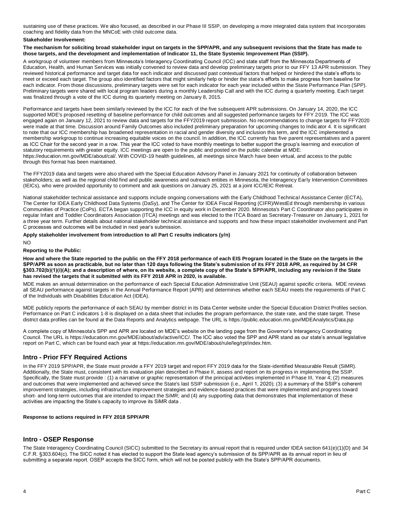sustaining use of these practices. We also focused, as described in our Phase III SSIP, on developing a more integrated data system that incorporates coaching and fidelity data from the MNCoE with child outcome data.

#### **Stakeholder Involvement:**

**The mechanism for soliciting broad stakeholder input on targets in the SPP/APR, and any subsequent revisions that the State has made to those targets, and the development and implementation of Indicator 11, the State Systemic Improvement Plan (SSIP).** 

A workgroup of volunteer members from Minnesota's Interagency Coordinating Council (ICC) and state staff from the Minnesota Departments of Education, Health, and Human Services was initially convened to review data and develop preliminary targets prior to our FFY 13 APR submission. They reviewed historical performance and target data for each indicator and discussed past contextual factors that helped or hindered the state's efforts to meet or exceed each target. The group also identified factors that might similarly help or hinder the state's efforts to make progress from baseline for each indicator. From those discussions, preliminary targets were set for each indicator for each year included within the State Performance Plan (SPP). Preliminary targets were shared with local program leaders during a monthly Leadership Call and with the ICC during a quarterly meeting. Each target was finalized through a vote of the ICC during its quarterly meeting on January 8, 2015.

Performance and targets have been similarly reviewed by the ICC for each of the five subsequent APR submissions. On January 14, 2020, the ICC supported MDE's proposed resetting of baseline performance for child outcomes and all suggested performance targets for FFY 2019. The ICC was engaged again on January 12, 2021 to review data and targets for the FFY2019 report submission. No recommendations to change targets for FFY2020 were made at that time. Discussion around Family Outcomes also included preliminary preparation for upcoming changes to Indic ator 4. It is significant to note that our ICC membership has broadened representation in racial and gender diversity and inclusion this term, and the ICC implemented a membership workgroup to continue increasing equitable voices on the council. In addition, the ICC currently has five parent representatives and a parent as ICC Chair for the second year in a row. This year the ICC voted to have monthly meetings to better support the group's learning and execution of statutory requirements with greater equity. ICC meetings are open to the public and posted on the public calendar at MDE: https://education.mn.gov/MDE/about/cal/. With COVID-19 health guidelines, all meetings since March have been virtual, and access to the public through this format has been maintained.

The FFY2019 data and targets were also shared with the Special Education Advisory Panel in January 2021 for continuity of collaboration between stakeholders; as well as the regional child find and public awareness and outreach entities in Minnesota, the Interagency Early Intervention Committees (IEICs), who were provided opportunity to comment and ask questions on January 25, 2021 at a joint ICC/IEIC Retreat.

National stakeholder technical assistance and supports include ongoing conversations with the Early Childhood Technical Assistance Center (ECTA), The Center for IDEA Early Childhood Data Systems (DaSy), and The Center for IDEA Fiscal Reporting (CIFR)/WestEd through membership in various Communities of Practice (CoPs). ECTA began supporting the ICC in equity work in December 2020. Minnesota's Part C Coordinator also participates in regular Infant and Toddler Coordinators Association (ITCA) meetings and was elected to the ITCA Board as Secretary-Treasurer on January 1, 2021 for a three year term. Further details about national stakeholder technical assistance and supports and how these impact stakeholder involvement and Part C processes and outcomes will be included in next year's submission.

**Apply stakeholder involvement from introduction to all Part C results indicators (y/n)** 

 $N<sub>O</sub>$ 

#### **Reporting to the Public:**

**How and where the State reported to the public on the FFY 2018 performance of each EIS Program located in the State on the targets in the SPP/APR as soon as practicable, but no later than 120 days following the State's submission of its FFY 2018 APR, as required by 34 CFR §303.702(b)(1)(i)(A); and a description of where, on its website, a complete copy of the State's SPP/APR, including any revision if the State has revised the targets that it submitted with its FFY 2018 APR in 2020, is available.** 

MDE makes an annual determination on the performance of each Special Education Administrative Unit (SEAU) against specific criteria. MDE reviews all SEAU performance against targets in the Annual Performance Report (APR) and determines whether each SEAU meets the requirements of Part C of the Individuals with Disabilities Education Act (IDEA).

MDE publicly reports the performance of each SEAU by member district in its Data Center website under the Special Education District Profiles section. Performance on Part C indicators 1-8 is displayed on a data sheet that includes the program performance, the state rate, and the state target. These district data profiles can be found at the Data Reports and Analytics webpage. The URL is https://public.education.mn.gov/MDEAnalytics/Data.jsp

A complete copy of Minnesota's SPP and APR are located on MDE's website on the landing page from the Governor's Interagency Coordinating Council. The URL is https://education.mn.gov/MDE/about/adv/active/ICC/. The ICC also voted the SPP and APR stand as our state's annual legislative report on Part C, which can be found each year at https://education.mn.gov/MDE/about/rule/leg/rpt/index.htm.

# **Intro - Prior FFY Required Actions**

In the FFY 2019 SPP/APR, the State must provide a FFY 2019 target and report FFY 2019 data for the State-identified Measurable Result (SiMR). Additionally, the State must, consistent with its evaluation plan described in Phase II, assess and report on its progress in implementing the SSIP. Specifically, the State must provide : (1) a narrative or graphic representation of the principal activities implemented in Phase III, Year 4; (2) measures and outcomes that were implemented and achieved since the State's last SSIP submission (i.e., April 1, 2020); (3) a summary of the SSIP's coherent improvement strategies, including infrastructure improvement strategies and evidence-based practices that were implemented and progress toward short- and long-term outcomes that are intended to impact the SiMR; and (4) any supporting data that demonstrates that implementation of these activities are impacting the State's capacity to improve its SiMR data .

#### **Response to actions required in FFY 2018 SPP/APR**

# **Intro - OSEP Response**

The State Interagency Coordinating Council (SICC) submitted to the Secretary its annual report that is required under IDEA section 641(e)(1)(D) and 34 C.F.R. §303.604(c). The SICC noted it has elected to support the State lead agency's submission of its SPP/APR as its annual report in lieu of submitting a separate report. OSEP accepts the SICC form, which will not be posted publicly with the State's SPP/APR documents.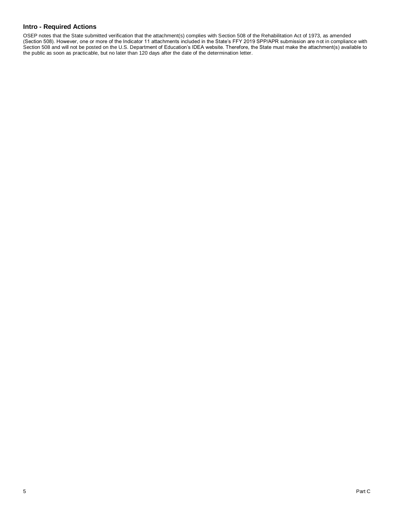# **Intro - Required Actions**

OSEP notes that the State submitted verification that the attachment(s) complies with Section 508 of the Rehabilitation Act of 1973, as amended (Section 508). However, one or more of the Indicator 11 attachments included in the State's FFY 2019 SPP/APR submission are not in compliance with Section 508 and will not be posted on the U.S. Department of Education's IDEA website. Therefore, the State must make the attachment(s) available to the public as soon as practicable, but no later than 120 days after the date of the determination letter.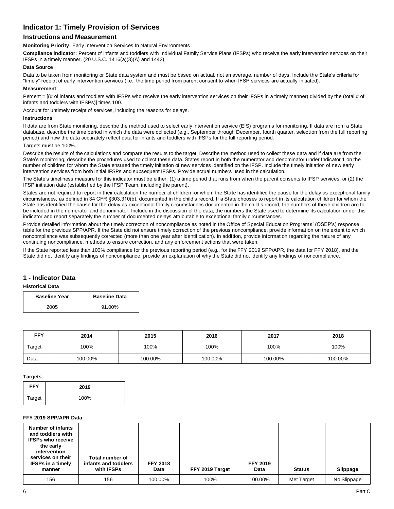# **Indicator 1: Timely Provision of Services**

# **Instructions and Measurement**

**Monitoring Priority:** Early Intervention Services In Natural Environments

**Compliance indicator:** Percent of infants and toddlers with Individual Family Service Plans (IFSPs) who receive the early intervention services on their IFSPs in a timely manner. (20 U.S.C. 1416(a)(3)(A) and 1442)

#### **Data Source**

Data to be taken from monitoring or State data system and must be based on actual, not an average, number of days. Include the State's criteria for "timely" receipt of early intervention services (i.e., the time period from parent consent to when IFSP services are actually initiated).

#### **Measurement**

Percent =  $[(# of infants and toldlers with IFSPs who receive the early intervention services on their IFSPs in a timely manner) divided by the (total # of$ infants and toddlers with IFSPs)] times 100.

Account for untimely receipt of services, including the reasons for delays.

#### **Instructions**

If data are from State monitoring, describe the method used to select early intervention service (EIS) programs for monitoring. If data are from a State database, describe the time period in which the data were collected (e.g., September through December, fourth quarter, selection from the full reporting period) and how the data accurately reflect data for infants and toddlers with IFSPs for the full reporting period.

#### Targets must be 100%.

Describe the results of the calculations and compare the results to the target. Describe the method used to collect these data and if data are from the State's monitoring, describe the procedures used to collect these data. States report in both the numerator and denominator under Indicator 1 on the number of children for whom the State ensured the timely initiation of new services identified on the IFSP. Include the timely initiation of new early intervention services from both initial IFSPs and subsequent IFSPs. Provide actual numbers used in the calculation.

The State's timeliness measure for this indicator must be either: (1) a time period that runs from when the parent consents to IFSP services; or (2) the IFSP initiation date (established by the IFSP Team, including the parent).

States are not required to report in their calculation the number of children for whom the State has identified the cause for the delay as exceptional family circumstances, as defined in 34 CFR §303.310(b), documented in the child's record. If a State chooses to report in its calculation children for whom the State has identified the cause for the delay as exceptional family circumstances documented in the child's record, the numbers of these children are to be included in the numerator and denominator. Include in the discussion of the data, the numbers the State used to determine its calculation under this indicator and report separately the number of documented delays attributable to exceptional family circumstances.

Provide detailed information about the timely correction of noncompliance as noted in the Office of Special Education Programs' (OSEP's) response table for the previous SPP/APR. If the State did not ensure timely correction of the previous noncompliance, provide information on the extent to which noncompliance was subsequently corrected (more than one year after identification). In addition, provide information regarding the nature of any continuing noncompliance, methods to ensure correction, and any enforcement actions that were taken.

If the State reported less than 100% compliance for the previous reporting period (e.g., for the FFY 2019 SPP/APR, the data for FFY 2018), and the State did not identify any findings of noncompliance, provide an explanation of why the State did not identify any findings of noncompliance.

# **1 - Indicator Data**

#### **Historical Data**

| <b>Baseline Year</b> | <b>Baseline Data</b> |
|----------------------|----------------------|
| 2005                 | 91.00%               |

| <b>FFY</b> | 2014    | 2015    | 2017<br>2016 |         | 2018    |
|------------|---------|---------|--------------|---------|---------|
| Target     | 100%    | 100%    | 100%         | 100%    | 100%    |
| Data       | 100.00% | 100.00% | 100.00%      | 100.00% | 100.00% |

#### **Targets**

| <b>FFY</b> | 2019 |
|------------|------|
| Target     | 100% |

#### **FFY 2019 SPP/APR Data**

| <b>Number of infants</b><br>and toddlers with<br><b>IFSPs who receive</b><br>the early<br>intervention<br>services on their<br><b>IFSPs in a timely</b><br>manner | Total number of<br>infants and toddlers<br>with IFSPs | <b>FFY 2018</b><br>Data | FFY 2019 Target | <b>FFY 2019</b><br>Data | <b>Status</b> | Slippage    |
|-------------------------------------------------------------------------------------------------------------------------------------------------------------------|-------------------------------------------------------|-------------------------|-----------------|-------------------------|---------------|-------------|
| 156                                                                                                                                                               | 156                                                   | 100.00%                 | 100%            | 100.00%                 | Met Target    | No Slippage |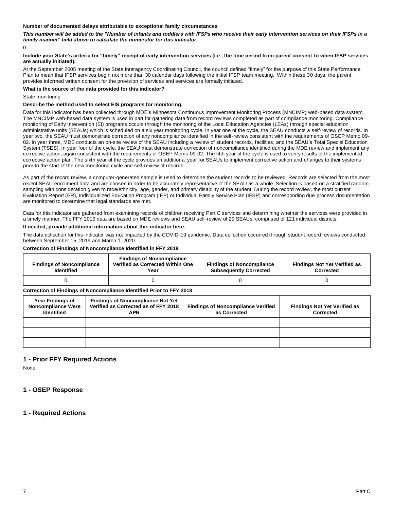#### **Number of documented delays attributable to exceptional family circumstances**

*This number will be added to the "Number of infants and toddlers with IFSPs who receive their early intervention services on their IFSPs in a timely manner" field above to calculate the numerator for this indicator.*

 $\Omega$ 

#### **Include your State's criteria for "timely" receipt of early intervention services (i.e., the time period from parent consent to when IFSP services are actually initiated).**

At the September 2005 meeting of the State Interagency Coordinating Council, the council defined "timely" for the purpose of this State Performance Plan to mean that IFSP services begin not more than 30 calendar days following the initial IFSP team meeting. Within these 30 days, the parent provides informed written consent for the provision of services and services are formally initiated.

## **What is the source of the data provided for this indicator?**

State monitoring

#### **Describe the method used to select EIS programs for monitoring.**

Data for this indicator has been collected through MDE's Minnesota Continuous Improvement Monitoring Process (MNCIMP) web-based data system. The MNCIMP web-based data system is used in part for gathering data from record reviews completed as part of compliance monitoring. Compliance monitoring of Early Intervention (EI) programs occurs through the monitoring of the Local Education Agencies (LEAs) through special education administrative units (SEAUs) which is scheduled on a six year monitoring cycle. In year one of the cycle, the SEAU conducts a self-review of records. In year two, the SEAU must demonstrate correction of any noncompliance identified in the self-review consistent with the requirements of OSEP Memo 09- 02. In year three, MDE conducts an on-site review of the SEAU including a review of student records, facilities, and the SEAU's Total Special Education System (TSES). In year four of the cycle, the SEAU must demonstrate correction of noncompliance identified during the MDE review and implement any corrective action, again consistent with the requirements of OSEP Memo 09-02. The fifth year of the cycle is used to verify results of the implemented corrective action plan. The sixth year of the cycle provides an additional year for SEAUs to implement corrective action and changes to their systems prior to the start of the new monitoring cycle and self-review of records.

As part of the record review, a computer-generated sample is used to determine the student records to be reviewed. Records are selected from the most recent SEAU enrollment data and are chosen in order to be accurately representative of the SEAU as a whole. Selection is based on a stratified random sampling with consideration given to race/ethnicity, age, gender, and primary disability of the student. During the record review, the most current Evaluation Report (ER), Individualized Education Program (IEP) or Individual Family Service Plan (IFSP) and corresponding due process documentation are monitored to determine that legal standards are met.

Data for this indicator are gathered from examining records of children receiving Part C services and determining whether the services were provided in a timely manner. The FFY 2019 data are based on MDE reviews and SEAU self-review of 29 SEAUs, comprised of 121 individual districts.

#### **If needed, provide additional information about this indicator here.**

The data collection for this indicator was not impacted by the COVID-19 pandemic. Data collection occurred through student record reviews conducted between September 15, 2019 and March 1, 2020.

#### **Correction of Findings of Noncompliance Identified in FFY 2018**

| <b>Findings of Noncompliance</b><br><b>Identified</b> | <b>Findings of Noncompliance</b><br>Verified as Corrected Within One<br>Year | <b>Findings of Noncompliance</b><br><b>Subsequently Corrected</b> | <b>Findings Not Yet Verified as</b><br>Corrected |
|-------------------------------------------------------|------------------------------------------------------------------------------|-------------------------------------------------------------------|--------------------------------------------------|
|                                                       |                                                                              |                                                                   |                                                  |

#### **Correction of Findings of Noncompliance Identified Prior to FFY 2018**

| <b>Year Findings of</b><br><b>Noncompliance Were</b><br><b>Identified</b> | <b>Findings of Noncompliance Not Yet</b><br>Verified as Corrected as of FFY 2018<br><b>APR</b> | <b>Findings of Noncompliance Verified</b><br>as Corrected | <b>Findings Not Yet Verified as</b><br>Corrected |
|---------------------------------------------------------------------------|------------------------------------------------------------------------------------------------|-----------------------------------------------------------|--------------------------------------------------|
|                                                                           |                                                                                                |                                                           |                                                  |
|                                                                           |                                                                                                |                                                           |                                                  |
|                                                                           |                                                                                                |                                                           |                                                  |

## **1 - Prior FFY Required Actions**

None

# **1 - OSEP Response**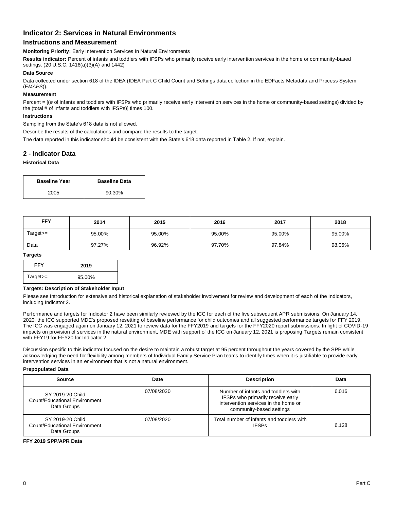# **Indicator 2: Services in Natural Environments**

# **Instructions and Measurement**

**Monitoring Priority:** Early Intervention Services In Natural Environments

**Results indicator:** Percent of infants and toddlers with IFSPs who primarily receive early intervention services in the home or community-based settings. (20 U.S.C. 1416(a)(3)(A) and 1442)

#### **Data Source**

Data collected under section 618 of the IDEA (IDEA Part C Child Count and Settings data collection in the EDFacts Metadata and Process System (E*MAPS*)).

## **Measurement**

Percent =  $[(# of infants and toldlers with IFSPs who primarily receive early intervention services in the home or community-based settings) divided by$ the (total # of infants and toddlers with IFSPs)] times 100.

#### **Instructions**

Sampling from the State's 618 data is not allowed.

Describe the results of the calculations and compare the results to the target.

The data reported in this indicator should be consistent with the State's 618 data reported in Table 2. If not, explain.

## **2 - Indicator Data**

## **Historical Data**

| <b>Baseline Year</b> | <b>Baseline Data</b> |
|----------------------|----------------------|
| 2005                 | 90.30%               |

| <b>FFY</b> | 2014   | 2015<br>2017<br>2016 |        | 2018   |        |
|------------|--------|----------------------|--------|--------|--------|
| Target>=   | 95.00% | 95.00%               | 95.00% | 95.00% | 95.00% |
| Data       | 97.27% | 96.92%               | 97.70% | 97.84% | 98.06% |

#### **Targets**

| <b>FFY</b> | 2019   |
|------------|--------|
| $Target =$ | 95.00% |

#### **Targets: Description of Stakeholder Input**

Please see Introduction for extensive and historical explanation of stakeholder involvement for review and development of each of the Indicators, including Indicator 2.

Performance and targets for Indicator 2 have been similarly reviewed by the ICC for each of the five subsequent APR submissions. On January 14, 2020, the ICC supported MDE's proposed resetting of baseline performance for child outcomes and all suggested performance targets for FFY 2019. The ICC was engaged again on January 12, 2021 to review data for the FFY2019 and targets for the FFY2020 report submissions. In light of COVID-19 impacts on provision of services in the natural environment, MDE with support of the ICC on January 12, 2021 is proposing Targets remain consistent with FFY19 for FFY20 for Indicator 2.

Discussion specific to this indicator focused on the desire to maintain a robust target at 95 percent throughout the years covered by the SPP while acknowledging the need for flexibility among members of Individual Family Service Plan teams to identify times when it is justifiable to provide early intervention services in an environment that is not a natural environment.

#### **Prepopulated Data**

| <b>Source</b>                                                    | Date       | <b>Description</b>                                                                                                                           | Data  |
|------------------------------------------------------------------|------------|----------------------------------------------------------------------------------------------------------------------------------------------|-------|
| SY 2019-20 Child<br>Count/Educational Environment<br>Data Groups | 07/08/2020 | Number of infants and toddlers with<br>IFSPs who primarily receive early<br>intervention services in the home or<br>community-based settings | 6.016 |
| SY 2019-20 Child<br>Count/Educational Environment<br>Data Groups | 07/08/2020 | Total number of infants and toddlers with<br><b>IFSPs</b>                                                                                    | 6.128 |

#### **FFY 2019 SPP/APR Data**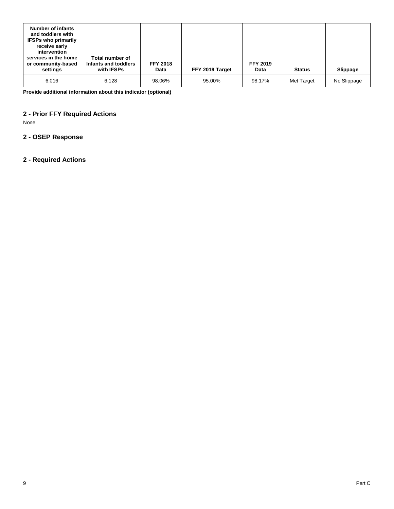| <b>Number of infants</b><br>and toddlers with<br><b>IFSPs who primarily</b><br>receive early<br>intervention<br>services in the home<br>or community-based<br>settings | Total number of<br>Infants and toddlers<br>with IFSPs | <b>FFY 2018</b><br>Data | FFY 2019 Target | <b>FFY 2019</b><br>Data | <b>Status</b> | <b>Slippage</b> |
|------------------------------------------------------------------------------------------------------------------------------------------------------------------------|-------------------------------------------------------|-------------------------|-----------------|-------------------------|---------------|-----------------|
| 6.016                                                                                                                                                                  | 6.128                                                 | 98.06%                  | 95.00%          | 98.17%                  | Met Target    | No Slippage     |

**Provide additional information about this indicator (optional)** 

# **2 - Prior FFY Required Actions**

None

# **2 - OSEP Response**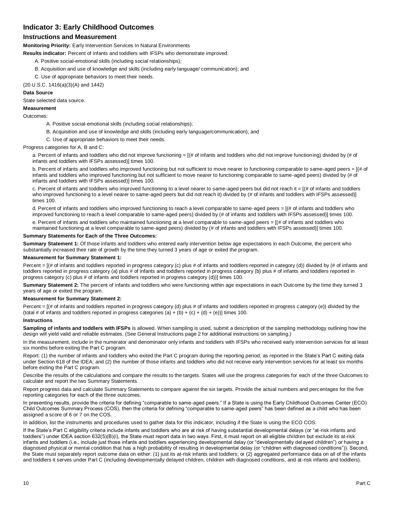# **Indicator 3: Early Childhood Outcomes**

# **Instructions and Measurement**

**Monitoring Priority:** Early Intervention Services In Natural Environments

**Results indicator:** Percent of infants and toddlers with IFSPs who demonstrate improved:

- A. Positive social-emotional skills (including social relationships);
- B. Acquisition and use of knowledge and skills (including early language/ communication); and
- C. Use of appropriate behaviors to meet their needs.

(20 U.S.C. 1416(a)(3)(A) and 1442)

#### **Data Source**

State selected data source.

#### **Measurement**

Outcomes:

- A. Positive social-emotional skills (including social relationships);
- B. Acquisition and use of knowledge and skills (including early language/communication); and
- C. Use of appropriate behaviors to meet their needs.

Progress categories for A, B and C:

a. Percent of infants and toddlers who did not improve functioning = [(# of infants and toddlers who did not improve functioning) divided by (# of infants and toddlers with IFSPs assessed)] times 100.

b. Percent of infants and toddlers who improved functioning but not sufficient to move nearer to functioning comparable to same-aged peers = [(# of infants and toddlers who improved functioning but not sufficient to move nearer to functioning comparable to same-aged peers) divided by (# of infants and toddlers with IFSPs assessed)] times 100.

c. Percent of infants and toddlers who improved functioning to a level nearer to same-aged peers but did not reach it = [(# of infants and toddlers who improved functioning to a level nearer to same-aged peers but did not reach it) divided by (# of infants and toddlers with IFSPs assessed)] times 100.

d. Percent of infants and toddlers who improved functioning to reach a level comparable to same-aged peers = [(# of infants and toddlers who improved functioning to reach a level comparable to same-aged peers) divided by (# of infants and toddlers with IFSPs assessed)] times 100.

e. Percent of infants and toddlers who maintained functioning at a level comparable to same-aged peers = [(# of infants and toddlers who maintained functioning at a level comparable to same-aged peers) divided by (# of infants and toddlers with IFSPs assessed)] times 100.

## **Summary Statements for Each of the Three Outcomes:**

**Summary Statement 1:** Of those infants and toddlers who entered early intervention below age expectations in each Outcome, the percent who substantially increased their rate of growth by the time they turned 3 years of age or exited the program.

#### **Measurement for Summary Statement 1:**

Percent =  $[(# of infants and toldlers reported in progress category (c) plus # of infants and toldlers reported in category (d)) divided by (# of infants and$ toddlers reported in progress category (a) plus # of infants and toddlers reported in progress category (b) plus # of infants and toddlers reported in progress category (c) plus # of infants and toddlers reported in progress category (d))] times 100.

**Summary Statement 2:** The percent of infants and toddlers who were functioning within age expectations in each Outcome by the time they turned 3 years of age or exited the program.

#### **Measurement for Summary Statement 2:**

Percent = [(# of infants and toddlers reported in progress category (d) plus # of infants and toddlers reported in progress category (e)) divided by the (total # of infants and toddlers reported in progress categories (a) + (b) + (c) + (d) + (e))] times 100.

#### **Instructions**

**Sampling of infants and toddlers with IFSPs** is allowed. When sampling is used, submit a description of the sampling methodology outlining how the design will yield valid and reliable estimates. (See General Instructions page 2 for additional instructions on sampling.)

In the measurement, include in the numerator and denominator only infants and toddlers with IFSPs who received early intervention services for at least six months before exiting the Part C program.

Report: (1) the number of infants and toddlers who exited the Part C program during the reporting period, as reported in the State's Part C exiting data under Section 618 of the IDEA; and (2) the number of those infants and toddlers who did not receive early intervention services for at least six months before exiting the Part C program.

Describe the results of the calculations and compare the results to the targets. States will use the progress categories for each of the three Outcomes to calculate and report the two Summary Statements.

Report progress data and calculate Summary Statements to compare against the six targets. Provide the actual numbers and perc entages for the five reporting categories for each of the three outcomes.

In presenting results, provide the criteria for defining "comparable to same-aged peers." If a State is using the Early Childhood Outcomes Center (ECO) Child Outcomes Summary Process (COS), then the criteria for defining "comparable to same-aged peers" has been defined as a child who has been assigned a score of 6 or 7 on the COS.

In addition, list the instruments and procedures used to gather data for this indicator, including if the State is using the ECO COS.

If the State's Part C eligibility criteria include infants and toddlers who are at risk of having substantial developmental delays (or "at-risk infants and toddlers") under IDEA section 632(5)(B)(i), the State must report data in two ways. First, it must report on all eligible children but exclude its at-risk infants and toddlers (i.e., include just those infants and toddlers experiencing developmental delay (or "developmentally delayed children") or having a diagnosed physical or mental condition that has a high probability of resulting in developmental delay (or "children with diagnosed conditions")). Second, the State must separately report outcome data on either: (1) just its at-risk infants and toddlers; or (2) aggregated performance data on all of the infants and toddlers it serves under Part C (including developmentally delayed children, children with diagnosed conditions, and at-risk infants and toddlers).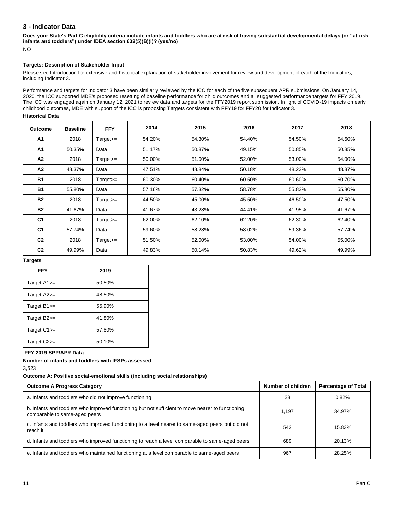# **3 - Indicator Data**

**Does your State's Part C eligibility criteria include infants and toddlers who are at risk of having substantial developmental delays (or "at-risk infants and toddlers") under IDEA section 632(5)(B)(i)? (yes/no)**

NO

# **Targets: Description of Stakeholder Input**

Please see Introduction for extensive and historical explanation of stakeholder involvement for review and development of each of the Indicators, including Indicator 3.

Performance and targets for Indicator 3 have been similarly reviewed by the ICC for each of the five subsequent APR submissions. On January 14, 2020, the ICC supported MDE's proposed resetting of baseline performance for child outcomes and all suggested performance targets for FFY 2019. The ICC was engaged again on January 12, 2021 to review data and targets for the FFY2019 report submission. In light of COVID-19 impacts on early childhood outcomes, MDE with support of the ICC is proposing Targets consistent with FFY19 for FFY20 for Indicator 3.

## **Historical Data**

| <b>Outcome</b> | <b>Baseline</b> | <b>FFY</b>  | 2014   | 2015   | 2016   | 2017   | 2018   |
|----------------|-----------------|-------------|--------|--------|--------|--------|--------|
| A1             | 2018            | $Target >=$ | 54.20% | 54.30% | 54.40% | 54.50% | 54.60% |
| A <sub>1</sub> | 50.35%          | Data        | 51.17% | 50.87% | 49.15% | 50.85% | 50.35% |
| A2             | 2018            | $Target >=$ | 50.00% | 51.00% | 52.00% | 53.00% | 54.00% |
| A2             | 48.37%          | Data        | 47.51% | 48.84% | 50.18% | 48.23% | 48.37% |
| <b>B1</b>      | 2018            | $Target >=$ | 60.30% | 60.40% | 60.50% | 60.60% | 60.70% |
| <b>B1</b>      | 55.80%          | Data        | 57.16% | 57.32% | 58.78% | 55.83% | 55.80% |
| <b>B2</b>      | 2018            | $Target >=$ | 44.50% | 45.00% | 45.50% | 46.50% | 47.50% |
| <b>B2</b>      | 41.67%          | Data        | 41.67% | 43.28% | 44.41% | 41.95% | 41.67% |
| C <sub>1</sub> | 2018            | $Target >=$ | 62.00% | 62.10% | 62.20% | 62.30% | 62.40% |
| C <sub>1</sub> | 57.74%          | Data        | 59.60% | 58.28% | 58.02% | 59.36% | 57.74% |
| C <sub>2</sub> | 2018            | $Target >=$ | 51.50% | 52.00% | 53.00% | 54.00% | 55.00% |
| C <sub>2</sub> | 49.99%          | Data        | 49.83% | 50.14% | 50.83% | 49.62% | 49.99% |

#### **Targets**

| <b>FFY</b>           | 2019   |
|----------------------|--------|
| Target $A1 ==$       | 50.50% |
| Target $A2 ==$       | 48.50% |
| Target $B1$ $\equiv$ | 55.90% |
| Target $B2 ==$       | 41.80% |
| Target $C1$ $>=$     | 57.80% |
| Target $C2 ==$       | 50.10% |

#### **FFY 2019 SPP/APR Data**

**Number of infants and toddlers with IFSPs assessed** 

3,523

**Outcome A: Positive social-emotional skills (including social relationships)** 

| <b>Outcome A Progress Category</b>                                                                                                 | Number of children | <b>Percentage of Total</b> |
|------------------------------------------------------------------------------------------------------------------------------------|--------------------|----------------------------|
| a. Infants and toddlers who did not improve functioning                                                                            | 28                 | 0.82%                      |
| b. Infants and toddlers who improved functioning but not sufficient to move nearer to functioning<br>comparable to same-aged peers | 1.197              | 34.97%                     |
| c. Infants and toddlers who improved functioning to a level nearer to same-aged peers but did not<br>reach it                      | 542                | 15.83%                     |
| d. Infants and toddlers who improved functioning to reach a level comparable to same-aged peers                                    | 689                | 20.13%                     |
| e. Infants and toddlers who maintained functioning at a level comparable to same-aged peers                                        | 967                | 28.25%                     |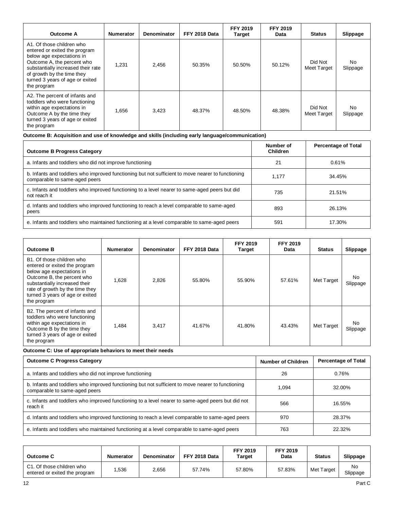| <b>Outcome A</b>                                                                                                                                                                                                                            | <b>Numerator</b> | Denominator | FFY 2018 Data | <b>FFY 2019</b><br>Target | <b>FFY 2019</b><br>Data | <b>Status</b>          | Slippage        |
|---------------------------------------------------------------------------------------------------------------------------------------------------------------------------------------------------------------------------------------------|------------------|-------------|---------------|---------------------------|-------------------------|------------------------|-----------------|
| A1. Of those children who<br>entered or exited the program<br>below age expectations in<br>Outcome A, the percent who<br>substantially increased their rate<br>of growth by the time they<br>turned 3 years of age or exited<br>the program | 1.231            | 2,456       | 50.35%        | 50.50%                    | 50.12%                  | Did Not<br>Meet Target | No.<br>Slippage |
| A2. The percent of infants and<br>toddlers who were functioning<br>within age expectations in<br>Outcome A by the time they<br>turned 3 years of age or exited<br>the program                                                               | 1.656            | 3,423       | 48.37%        | 48.50%                    | 48.38%                  | Did Not<br>Meet Target | No.<br>Slippage |

**Outcome B: Acquisition and use of knowledge and skills (including early language/communication)** 

| <b>Outcome B Progress Category</b>                                                                                                 | Number of<br><b>Children</b> | <b>Percentage of Total</b> |
|------------------------------------------------------------------------------------------------------------------------------------|------------------------------|----------------------------|
| a. Infants and toddlers who did not improve functioning                                                                            | 21                           | 0.61%                      |
| b. Infants and toddlers who improved functioning but not sufficient to move nearer to functioning<br>comparable to same-aged peers | 1.177                        | 34.45%                     |
| c. Infants and toddlers who improved functioning to a level nearer to same-aged peers but did<br>not reach it                      | 735                          | 21.51%                     |
| d. Infants and toddlers who improved functioning to reach a level comparable to same-aged<br>peers                                 | 893                          | 26.13%                     |
| e. Infants and toddlers who maintained functioning at a level comparable to same-aged peers                                        | 591                          | 17.30%                     |

| <b>Outcome B</b>                                                                                                                                                                                                                            | <b>Numerator</b> | Denominator | FFY 2018 Data | <b>FFY 2019</b><br><b>Target</b> | <b>FFY 2019</b><br>Data | <b>Status</b> | Slippage       |
|---------------------------------------------------------------------------------------------------------------------------------------------------------------------------------------------------------------------------------------------|------------------|-------------|---------------|----------------------------------|-------------------------|---------------|----------------|
| B1. Of those children who<br>entered or exited the program<br>below age expectations in<br>Outcome B, the percent who<br>substantially increased their<br>rate of growth by the time they<br>turned 3 years of age or exited<br>the program | 1,628            | 2,826       | 55.80%        | 55.90%                           | 57.61%                  | Met Target    | No<br>Slippage |
| B2. The percent of infants and<br>toddlers who were functioning<br>within age expectations in<br>Outcome B by the time they<br>turned 3 years of age or exited<br>the program                                                               | 1.484            | 3,417       | 41.67%        | 41.80%                           | 43.43%                  | Met Target    | No<br>Slippage |

**Outcome C: Use of appropriate behaviors to meet their needs** 

| <b>Outcome C Progress Category</b>                                                                                                 | <b>Number of Children</b> | <b>Percentage of Total</b> |
|------------------------------------------------------------------------------------------------------------------------------------|---------------------------|----------------------------|
| a. Infants and toddlers who did not improve functioning                                                                            | 26                        | 0.76%                      |
| b. Infants and toddlers who improved functioning but not sufficient to move nearer to functioning<br>comparable to same-aged peers | 1.094                     | 32.00%                     |
| c. Infants and toddlers who improved functioning to a level nearer to same-aged peers but did not<br>reach it                      | 566                       | 16.55%                     |
| d. Infants and toddlers who improved functioning to reach a level comparable to same-aged peers                                    | 970                       | 28.37%                     |
| e. Infants and toddlers who maintained functioning at a level comparable to same-aged peers                                        | 763                       | 22.32%                     |

| <b>Outcome C</b>                                                   | Numerator | Denominator | FFY 2018 Data | <b>FFY 2019</b><br><b>Target</b> | <b>FFY 2019</b><br>Data | <b>Status</b> | Slippage       |
|--------------------------------------------------------------------|-----------|-------------|---------------|----------------------------------|-------------------------|---------------|----------------|
| C1. Of those children who<br>.536<br>entered or exited the program |           | 2,656       | 57.74%        | 57.80%                           | 57.83%                  | Met Target    | No<br>Slippage |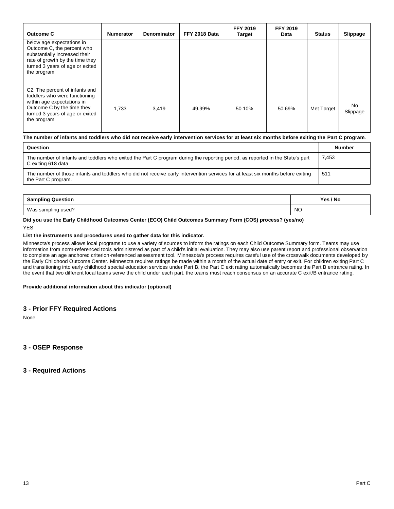| Outcome C                                                                                                                                                                     | <b>Numerator</b> | Denominator | FFY 2018 Data | <b>FFY 2019</b><br><b>Target</b> | <b>FFY 2019</b><br>Data | <b>Status</b> | Slippage       |
|-------------------------------------------------------------------------------------------------------------------------------------------------------------------------------|------------------|-------------|---------------|----------------------------------|-------------------------|---------------|----------------|
| below age expectations in<br>Outcome C, the percent who<br>substantially increased their<br>rate of growth by the time they<br>turned 3 years of age or exited<br>the program |                  |             |               |                                  |                         |               |                |
| C2. The percent of infants and<br>toddlers who were functioning<br>within age expectations in<br>Outcome C by the time they<br>turned 3 years of age or exited<br>the program | 1.733            | 3,419       | 49.99%        | 50.10%                           | 50.69%                  | Met Target    | No<br>Slippage |

#### **The number of infants and toddlers who did not receive early intervention services for at least six months before exiting the Part C program**.

| Question                                                                                                                                               | <b>Number</b> |
|--------------------------------------------------------------------------------------------------------------------------------------------------------|---------------|
| The number of infants and toddlers who exited the Part C program during the reporting period, as reported in the State's part<br>C exiting 618 data    | 7.453         |
| The number of those infants and toddlers who did not receive early intervention services for at least six months before exiting<br>the Part C program. | 511           |

| <b>Sampling Question</b> | Yes / No  |
|--------------------------|-----------|
| Was sampling used?       | <b>NO</b> |

#### **Did you use the Early Childhood Outcomes Center (ECO) Child Outcomes Summary Form (COS) process? (yes/no)**  YES

#### **List the instruments and procedures used to gather data for this indicator.**

Minnesota's process allows local programs to use a variety of sources to inform the ratings on each Child Outcome Summary form. Teams may use information from norm-referenced tools administered as part of a child's initial evaluation. They may also use parent report and professional observation to complete an age anchored criterion-referenced assessment tool. Minnesota's process requires careful use of the crosswalk documents developed by the Early Childhood Outcome Center. Minnesota requires ratings be made within a month of the actual date of entry or exit. For children exiting Part C and transitioning into early childhood special education services under Part B, the Part C exit rating automatically becomes the Part B entrance rating. In the event that two different local teams serve the child under each part, the teams must reach consensus on an accurate C exit/B entrance rating.

#### **Provide additional information about this indicator (optional)**

#### **3 - Prior FFY Required Actions**

None

**3 - OSEP Response**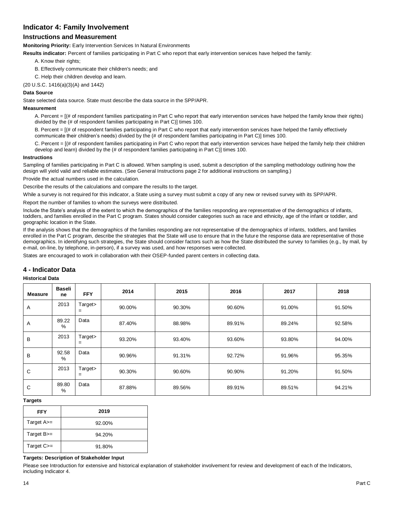# **Indicator 4: Family Involvement**

# **Instructions and Measurement**

**Monitoring Priority:** Early Intervention Services In Natural Environments

**Results indicator:** Percent of families participating in Part C who report that early intervention services have helped the family:

- A. Know their rights;
- B. Effectively communicate their children's needs; and
- C. Help their children develop and learn.
- (20 U.S.C. 1416(a)(3)(A) and 1442)

#### **Data Source**

State selected data source. State must describe the data source in the SPP/APR.

#### **Measurement**

A. Percent = [(# of respondent families participating in Part C who report that early intervention services have helped the family know their rights) divided by the (# of respondent families participating in Part C)] times 100.

B. Percent = [(# of respondent families participating in Part C who report that early intervention services have helped the family effectively communicate their children's needs) divided by the (# of respondent families participating in Part C)] times 100.

C. Percent = [(# of respondent families participating in Part C who report that early intervention services have helped the family help their children develop and learn) divided by the (# of respondent families participating in Part C)] times 100.

#### **Instructions**

Sampling of families participating in Part C is allowed. When sampling is used, submit a description of the sampling methodology outlining how the design will yield valid and reliable estimates. (See General Instructions page 2 for additional instructions on sampling.)

Provide the actual numbers used in the calculation.

Describe the results of the calculations and compare the results to the target.

While a survey is not required for this indicator, a State using a survey must submit a copy of any new or revised survey with its SPP/APR.

Report the number of families to whom the surveys were distributed.

Include the State's analysis of the extent to which the demographics of the families responding are representative of the demographics of infants, toddlers, and families enrolled in the Part C program. States should consider categories such as race and ethnicity, age of the infant or toddler, and geographic location in the State.

If the analysis shows that the demographics of the families responding are not representative of the demographics of infants, toddlers, and families enrolled in the Part C program, describe the strategies that the State will use to ensure that in the future the response data are representative of those demographics. In identifying such strategies, the State should consider factors such as how the State distributed the survey to families (e.g., by mail, by e-mail, on-line, by telephone, in-person), if a survey was used, and how responses were collected.

States are encouraged to work in collaboration with their OSEP-funded parent centers in collecting data.

## **4 - Indicator Data**

#### **Historical Data**

| <b>Measure</b> | <b>Baseli</b><br>ne | <b>FFY</b>     | 2014   | 2015   | 2016   | 2017   | 2018   |
|----------------|---------------------|----------------|--------|--------|--------|--------|--------|
| Α              | 2013                | Target><br>$=$ | 90.00% | 90.30% | 90.60% | 91.00% | 91.50% |
| Α              | 89.22<br>$\%$       | Data           | 87.40% | 88.98% | 89.91% | 89.24% | 92.58% |
| B              | 2013                | Target><br>$=$ | 93.20% | 93.40% | 93.60% | 93.80% | 94.00% |
| B              | 92.58<br>$\%$       | Data           | 90.96% | 91.31% | 92.72% | 91.96% | 95.35% |
| С              | 2013                | Target><br>$=$ | 90.30% | 90.60% | 90.90% | 91.20% | 91.50% |
| С              | 89.80<br>$\%$       | Data           | 87.88% | 89.56% | 89.91% | 89.51% | 94.21% |

#### **Targets**

| <b>FFY</b>        | 2019   |
|-------------------|--------|
| Target $A \geq -$ | 92.00% |
| Target $B =$      | 94.20% |
| Target $C>=$      | 91.80% |

#### **Targets: Description of Stakeholder Input**

Please see Introduction for extensive and historical explanation of stakeholder involvement for review and development of each of the Indicators, including Indicator 4.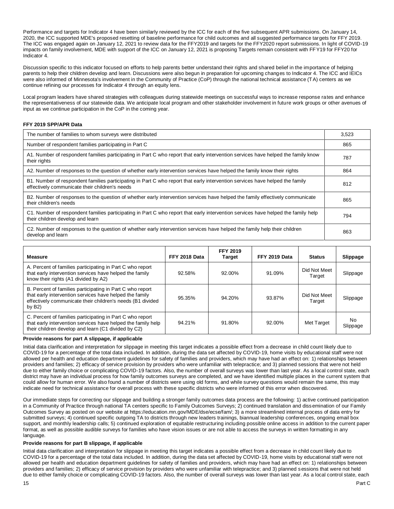Performance and targets for Indicator 4 have been similarly reviewed by the ICC for each of the five subsequent APR submissions. On January 14, 2020, the ICC supported MDE's proposed resetting of baseline performance for child outcomes and all suggested performance targets for FFY 2019. The ICC was engaged again on January 12, 2021 to review data for the FFY2019 and targets for the FFY2020 report submissions. In light of COVID-19 impacts on family involvement, MDE with support of the ICC on January 12, 2021 is proposing Targets remain consistent with FFY19 for FFY20 for Indicator 4.

Discussion specific to this indicator focused on efforts to help parents better understand their rights and shared belief in the importance of helping parents to help their children develop and learn. Discussions were also begun in preparation for upcoming changes to Indicator 4. The ICC and IEICs were also informed of Minnesota's involvement in the Community of Practice (CoP) through the national technical assistance (TA) centers as we continue refining our processes for Indicator 4 through an equity lens.

Local program leaders have shared strategies with colleagues during statewide meetings on successful ways to increase response rates and enhance the representativeness of our statewide data. We anticipate local program and other stakeholder involvement in future work groups or other avenues of input as we continue participation in the CoP in the coming year.

#### **FFY 2019 SPP/APR Data**

| The number of families to whom surveys were distributed                                                                                                                        | 3.523 |
|--------------------------------------------------------------------------------------------------------------------------------------------------------------------------------|-------|
| Number of respondent families participating in Part C                                                                                                                          | 865   |
| A1. Number of respondent families participating in Part C who report that early intervention services have helped the family know<br>their rights                              | 787   |
| A2. Number of responses to the question of whether early intervention services have helped the family know their rights                                                        | 864   |
| B1. Number of respondent families participating in Part C who report that early intervention services have helped the family<br>effectively communicate their children's needs | 812   |
| B2. Number of responses to the question of whether early intervention services have helped the family effectively communicate<br>their children's needs                        | 865   |
| C1. Number of respondent families participating in Part C who report that early intervention services have helped the family help<br>their children develop and learn          | 794   |
| C2. Number of responses to the question of whether early intervention services have helped the family help their children<br>develop and learn                                 | 863   |

| <b>Measure</b>                                                                                                                                                                                 | FFY 2018 Data | <b>FFY 2019</b><br><b>Target</b> | FFY 2019 Data | <b>Status</b>          | <b>Slippage</b> |
|------------------------------------------------------------------------------------------------------------------------------------------------------------------------------------------------|---------------|----------------------------------|---------------|------------------------|-----------------|
| A. Percent of families participating in Part C who report<br>that early intervention services have helped the family<br>know their rights (A1 divided by A2)                                   | 92.58%        | 92.00%                           | 91.09%        | Did Not Meet<br>Target | Slippage        |
| B. Percent of families participating in Part C who report<br>that early intervention services have helped the family<br>effectively communicate their children's needs (B1 divided<br>by $B2)$ | 95.35%        | 94.20%                           | 93.87%        | Did Not Meet<br>Target | Slippage        |
| C. Percent of families participating in Part C who report<br>that early intervention services have helped the family help<br>their children develop and learn (C1 divided by C2)               | 94.21%        | 91.80%                           | 92.00%        | Met Target             | No<br>Slippage  |

#### **Provide reasons for part A slippage, if applicable**

Initial data clarification and interpretation for slippage in meeting this target indicates a possible effect from a decrease in child count likely due to COVID-19 for a percentage of the total data included. In addition, during the data set affected by COVID-19, home visits by educational staff were not allowed per health and education department guidelines for safety of families and providers, which may have had an effect on: 1) relationships between providers and families; 2) efficacy of service provision by providers who were unfamiliar with telepractice; and 3) planned sessions that were not held due to either family choice or complicating COVID-19 factors. Also, the number of overall surveys was lower than last year. As a local control state, each district may have an individual process for how family outcomes surveys are completed, and we have identified multiple places in the current system that could allow for human error. We also found a number of districts were using old forms, and while survey questions would remain the same, this may indicate need for technical assistance for overall process with these specific districts who were informed of this error when discovered.

Our immediate steps for correcting our slippage and building a stronger family outcomes data process are the following: 1) active continued participation in a Community of Practice through national TA centers specific to Family Outcomes Surveys; 2) continued translation and dissemination of our Family Outcomes Survey as posted on our website at https://education.mn.gov/MDE/dse/ecse/fam/; 3) a more streamlined internal process of data entry for submitted surveys; 4) continued specific outgoing TA to districts through new leaders trainings, biannual leadership conferences, ongoing email box support, and monthly leadership calls; 5) continued exploration of equitable restructuring including possible online access in addition to the current paper format, as well as possible audible surveys for families who have vision issues or are not able to access the surveys in written formatting in any language.

#### **Provide reasons for part B slippage, if applicable**

Initial data clarification and interpretation for slippage in meeting this target indicates a possible effect from a decrease in child count likely due to COVID-19 for a percentage of the total data included. In addition, during the data set affected by COVID-19, home visits by educational staff were not allowed per health and education department guidelines for safety of families and providers, which may have had an effect on: 1) relationships between providers and families; 2) efficacy of service provision by providers who were unfamiliar with telepractice; and 3) planned sessions that were not held due to either family choice or complicating COVID-19 factors. Also, the number of overall surveys was lower than last year. As a local control state, each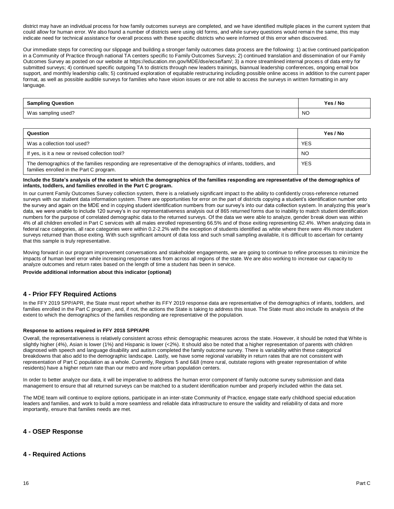district may have an individual process for how family outcomes surveys are completed, and we have identified multiple places in the current system that could allow for human error. We also found a number of districts were using old forms, and while survey questions would remain the same, this may indicate need for technical assistance for overall process with these specific districts who were informed of this error when discovered.

Our immediate steps for correcting our slippage and building a stronger family outcomes data process are the following: 1) ac tive continued participation in a Community of Practice through national TA centers specific to Family Outcomes Surveys; 2) continued translation and dissemination of our Family Outcomes Survey as posted on our website at https://education.mn.gov/MDE/dse/ecse/fam/; 3) a more streamlined internal process of data entry for submitted surveys; 4) continued specific outgoing TA to districts through new leaders trainings, biannual leadership conferences, ongoing email box support, and monthly leadership calls; 5) continued exploration of equitable restructuring including possible online access in addition to the current paper format, as well as possible audible surveys for families who have vision issues or are not able to access the surveys in written formatting in any language.

| <b>Sampling Question</b> | Yes / No  |
|--------------------------|-----------|
| Was sampling used?       | <b>NO</b> |

| Question                                                                                                                                                 | Yes / No   |
|----------------------------------------------------------------------------------------------------------------------------------------------------------|------------|
| Was a collection tool used?                                                                                                                              | <b>YES</b> |
| If yes, is it a new or revised collection tool?                                                                                                          | <b>NO</b>  |
| The demographics of the families responding are representative of the demographics of infants, toddlers, and<br>families enrolled in the Part C program. | <b>YES</b> |

#### **Include the State's analysis of the extent to which the demographics of the families responding are representative of the demographics of infants, toddlers, and families enrolled in the Part C program.**

In our current Family Outcomes Survey collection system, there is a relatively significant impact to the ability to confidently cross-reference returned surveys with our student data information system. There are opportunities for error on the part of districts copying a student's identification number onto the survey and again on the MDE end in copying student identification numbers from our survey's into our data collection system. In analyzing this year's data, we were unable to include 120 survey's in our representativeness analysis out of 865 returned forms due to inability to match student identification numbers for the purpose of correlated demographic data to the returned surveys. Of the data we were able to analyze, gender break down was within 4% of all children enrolled in Part C services with all males enrolled representing 66.5% and of those exiting representing 62.4%. When analyzing data in federal race categories, all race categories were within 0.2-2.2% with the exception of students identified as white where there were 4% more student surveys returned than those exiting. With such significant amount of data loss and such small sampling available, it is difficult to ascertain for certainty that this sample is truly representative.

Moving forward in our program improvement conversations and stakeholder engagements, we are going to continue to refine processes to minimize the impacts of human level error while increasing response rates from across all regions of the state. We are also working to increase our capacity to analyze outcomes and return rates based on the length of time a student has been in service.

**Provide additional information about this indicator (optional)** 

# **4 - Prior FFY Required Actions**

In the FFY 2019 SPP/APR, the State must report whether its FFY 2019 response data are representative of the demographics of infants, toddlers, and families enrolled in the Part C program, and, if not, the actions the State is taking to address this issue. The State must also include its analysis of the extent to which the demographics of the families responding are representative of the population.

#### **Response to actions required in FFY 2018 SPP/APR**

Overall, the representativeness is relatively consistent across ethnic demographic measures across the state. However, it should be noted that White is slightly higher (4%), Asian is lower (1%) and Hispanic is lower (<2%). It should also be noted that a higher representation of parents with children diagnosed with speech and language disability and autism completed the family outcome survey. There is variability within these categorical breakdowns that also add to the demographic landscape. Lastly, we have some regional variability in return rates that are not consistent with representation of Part C population as a whole. Currently, Regions 5 and 6&8 (more rural, outstate regions with greater representation of white residents) have a higher return rate than our metro and more urban population centers.

In order to better analyze our data, it will be imperative to address the human error component of family outcome survey submission and data management to ensure that all returned surveys can be matched to a student identification number and properly included within the data set.

The MDE team will continue to explore options, participate in an inter-state Community of Practice, engage state early childhood special education leaders and families, and work to build a more seamless and reliable data infrastructure to ensure the validity and reliability of data and more importantly, ensure that families needs are met.

## **4 - OSEP Response**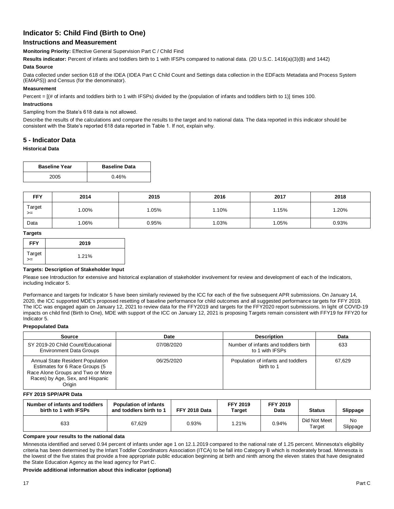# **Indicator 5: Child Find (Birth to One)**

# **Instructions and Measurement**

**Monitoring Priority:** Effective General Supervision Part C / Child Find

**Results indicator:** Percent of infants and toddlers birth to 1 with IFSPs compared to national data. (20 U.S.C. 1416(a)(3)(B) and 1442)

#### **Data Source**

Data collected under section 618 of the IDEA (IDEA Part C Child Count and Settings data collection in the EDFacts Metadata and Process System (E*MAPS*)) and Census (for the denominator).

#### **Measurement**

Percent = [(# of infants and toddlers birth to 1 with IFSPs) divided by the (population of infants and toddlers birth to 1)] times 100.

#### **Instructions**

#### Sampling from the State's 618 data is not allowed.

Describe the results of the calculations and compare the results to the target and to national data. The data reported in this indicator should be consistent with the State's reported 618 data reported in Table 1. If not, explain why.

# **5 - Indicator Data**

#### **Historical Data**

| <b>Baseline Year</b> | <b>Baseline Data</b> |
|----------------------|----------------------|
| 2005                 | 0.46%                |

| <b>FFY</b>     | 2014 | 2015  | 2016  | 2017  | 2018  |
|----------------|------|-------|-------|-------|-------|
| Target<br>$>=$ | .00% | 1.05% | 1.10% | 1.15% | 1.20% |
| Data           | .06% | 0.95% | 1.03% | 1.05% | 0.93% |

#### **Targets**

| <b>FFY</b>   | 2019  |
|--------------|-------|
| Target<br>>= | 1.21% |

#### **Targets: Description of Stakeholder Input**

Please see Introduction for extensive and historical explanation of stakeholder involvement for review and development of each of the Indicators, including Indicator 5.

Performance and targets for Indicator 5 have been similarly reviewed by the ICC for each of the five subsequent APR submissions. On January 14, 2020, the ICC supported MDE's proposed resetting of baseline performance for child outcomes and all suggested performance targets for FFY 2019. The ICC was engaged again on January 12, 2021 to review data for the FFY2019 and targets for the FFY2020 report submissions. In light of COVID-19 impacts on child find (Birth to One), MDE with support of the ICC on January 12, 2021 is proposing Targets remain consistent with FFY19 for FFY20 for Indicator 5.

#### **Prepopulated Data**

| Source                                                                                                                                                | Date       | <b>Description</b>                                      | Data   |
|-------------------------------------------------------------------------------------------------------------------------------------------------------|------------|---------------------------------------------------------|--------|
| SY 2019-20 Child Count/Educational<br><b>Environment Data Groups</b>                                                                                  | 07/08/2020 | Number of infants and toddlers birth<br>to 1 with IFSPs | 633    |
| Annual State Resident Population<br>Estimates for 6 Race Groups (5<br>Race Alone Groups and Two or More<br>Races) by Age, Sex, and Hispanic<br>Origin | 06/25/2020 | Population of infants and toddlers<br>birth to 1        | 67.629 |

#### **FFY 2019 SPP/APR Data**

| Number of infants and toddlers<br>birth to 1 with IFSPs | <b>Population of infants</b><br>and toddlers birth to 1 | FFY 2018 Data | <b>FFY 2019</b><br>Target | <b>FFY 2019</b><br>Data | <b>Status</b>          | Slippage       |
|---------------------------------------------------------|---------------------------------------------------------|---------------|---------------------------|-------------------------|------------------------|----------------|
| 633                                                     | 67.629                                                  | 0.93%         | 1.21%                     | 0.94%                   | Did Not Meet<br>Target | No<br>Slippage |

#### **Compare your results to the national data**

Minnesota identified and served 0.94 percent of infants under age 1 on 12.1.2019 compared to the national rate of 1.25 percent. Minnesota's eligibility criteria has been determined by the Infant Toddler Coordinators Association (ITCA) to be fall into Category B which is moderately broad. Minnesota is the lowest of the five states that provide a free appropriate public education beginning at birth and ninth among the eleven states that have designated the State Education Agency as the lead agency for Part C.

#### **Provide additional information about this indicator (optional)**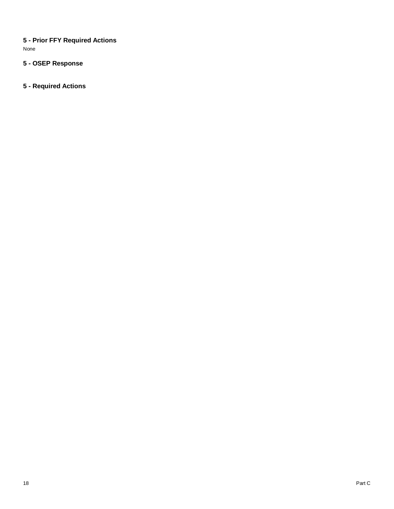**5 - Prior FFY Required Actions**  None

# **5 - OSEP Response**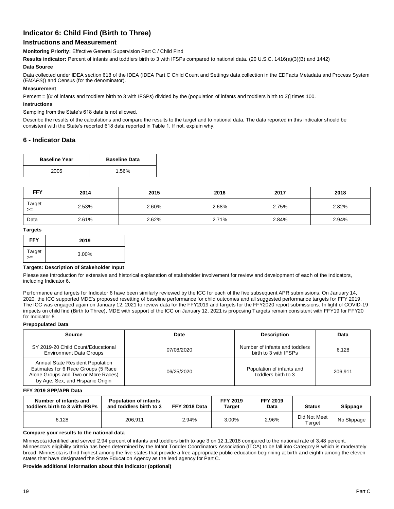# **Indicator 6: Child Find (Birth to Three)**

# **Instructions and Measurement**

**Monitoring Priority:** Effective General Supervision Part C / Child Find

**Results indicator:** Percent of infants and toddlers birth to 3 with IFSPs compared to national data. (20 U.S.C. 1416(a)(3)(B) and 1442)

#### **Data Source**

Data collected under IDEA section 618 of the IDEA (IDEA Part C Child Count and Settings data collection in the EDFacts Metadata and Process System (E*MAPS*)) and Census (for the denominator).

#### **Measurement**

Percent = [(# of infants and toddlers birth to 3 with IFSPs) divided by the (population of infants and toddlers birth to 3)] times 100.

#### **Instructions**

#### Sampling from the State's 618 data is not allowed.

Describe the results of the calculations and compare the results to the target and to national data. The data reported in this indicator should be consistent with the State's reported 618 data reported in Table 1. If not, explain why.

# **6 - Indicator Data**

| <b>Baseline Year</b> | <b>Baseline Data</b> |
|----------------------|----------------------|
| 2005                 | 1.56%                |

| <b>FFY</b>     | 2014  | 2015  | 2016  | 2017  | 2018  |
|----------------|-------|-------|-------|-------|-------|
| Target<br>$>=$ | 2.53% | 2.60% | 2.68% | 2.75% | 2.82% |
| Data           | 2.61% | 2.62% | 2.71% | 2.84% | 2.94% |

#### **Targets**

| <b>FFY</b>  | 2019  |
|-------------|-------|
| Target<br>≍ | 3.00% |

#### **Targets: Description of Stakeholder Input**

Please see Introduction for extensive and historical explanation of stakeholder involvement for review and development of each of the Indicators, including Indicator 6.

Performance and targets for Indicator 6 have been similarly reviewed by the ICC for each of the five subsequent APR submissions. On January 14, 2020, the ICC supported MDE's proposed resetting of baseline performance for child outcomes and all suggested performance targets for FFY 2019. The ICC was engaged again on January 12, 2021 to review data for the FFY2019 and targets for the FFY2020 report submissions. In light of COVID-19 impacts on child find (Birth to Three), MDE with support of the ICC on January 12, 2021 is proposing Targets remain consistent with FFY19 for FFY20 for Indicator 6.

#### **Prepopulated Data**

| <b>Source</b>                                                                                                                                      | Date       | <b>Description</b>                                      | Data    |
|----------------------------------------------------------------------------------------------------------------------------------------------------|------------|---------------------------------------------------------|---------|
| SY 2019-20 Child Count/Educational<br>07/08/2020<br><b>Environment Data Groups</b>                                                                 |            | Number of infants and toddlers<br>birth to 3 with IFSPs | 6.128   |
| Annual State Resident Population<br>Estimates for 6 Race Groups (5 Race<br>Alone Groups and Two or More Races)<br>by Age, Sex, and Hispanic Origin | 06/25/2020 | Population of infants and<br>toddlers birth to 3        | 206.911 |

#### **FFY 2019 SPP/APR Data**

| Number of infants and<br>toddlers birth to 3 with IFSPs | <b>Population of infants</b><br>and toddlers birth to 3 | FFY 2018 Data | <b>FFY 2019</b><br>Target | <b>FFY 2019</b><br>Data | <b>Status</b>          | Slippage    |
|---------------------------------------------------------|---------------------------------------------------------|---------------|---------------------------|-------------------------|------------------------|-------------|
| 6.128                                                   | 206.911                                                 | 2.94%         | 3.00%                     | 2.96%                   | Did Not Meet<br>Target | No Slippage |

#### **Compare your results to the national data**

Minnesota identified and served 2.94 percent of infants and toddlers birth to age 3 on 12.1.2018 compared to the national rate of 3.48 percent. Minnesota's eligibility criteria has been determined by the Infant Toddler Coordinators Association (ITCA) to be fall into Category B which is moderately broad. Minnesota is third highest among the five states that provide a free appropriate public education beginning at birth and eighth among the eleven states that have designated the State Education Agency as the lead agency for Part C.

#### **Provide additional information about this indicator (optional)**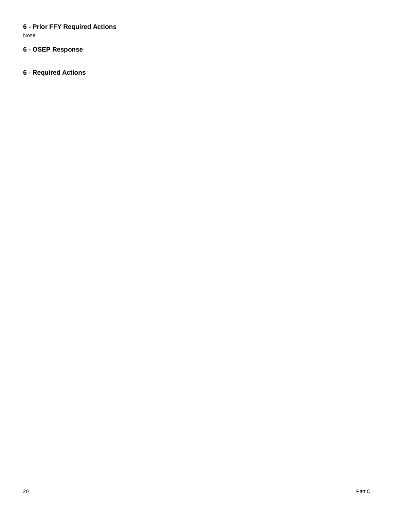# **6 - Prior FFY Required Actions**

None

# **6 - OSEP Response**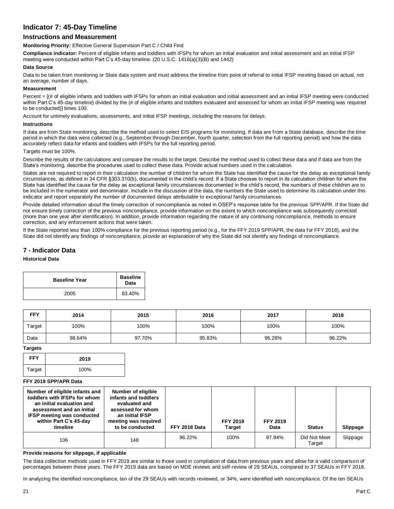# **Indicator 7: 45-Day Timeline**

# **Instructions and Measurement**

**Monitoring Priority:** Effective General Supervision Part C / Child Find

**Compliance indicator:** Percent of eligible infants and toddlers with IFSPs for whom an initial evaluation and initial assessment and an initial IFSP meeting were conducted within Part C's 45-day timeline. (20 U.S.C. 1416(a)(3)(B) and 1442)

#### **Data Source**

Data to be taken from monitoring or State data system and must address the timeline from point of referral to initial IFSP meeting based on actual, not an average, number of days.

#### **Measurement**

Percent =  $[(# of eligible infants and toldlers with IFSPs for whom an initial evaluation and initial assessment and an initial IFSP meeting were conducted$ within Part C's 45-day timeline) divided by the (# of eligible infants and toddlers evaluated and assessed for whom an initial IFSP meeting was required to be conducted)] times 100.

Account for untimely evaluations, assessments, and initial IFSP meetings, including the reasons for delays.

#### **Instructions**

If data are from State monitoring, describe the method used to select EIS programs for monitoring. If data are from a State database, describe the time period in which the data were collected (e.g., September through December, fourth quarter, selection from the full reporting period) and how the data accurately reflect data for infants and toddlers with IFSPs for the full reporting period.

#### Targets must be 100%.

Describe the results of the calculations and compare the results to the target. Describe the method used to collect these data and if data are from the State's monitoring, describe the procedures used to collect these data. Provide actual numbers used in the calculation.

States are not required to report in their calculation the number of children for whom the State has identified the cause for the delay as exceptional family circumstances, as defined in 34 CFR §303.310(b), documented in the child's record. If a State chooses to report in its calculation children for whom the State has identified the cause for the delay as exceptional family circumstances documented in the child's record, the numbers of these children are to be included in the numerator and denominator. Include in the discussion of the data, the numbers the State used to determine its calculation under this indicator and report separately the number of documented delays attributable to exceptional family circumstances.

Provide detailed information about the timely correction of noncompliance as noted in OSEP's response table for the previous SPP/APR. If the State did not ensure timely correction of the previous noncompliance, provide information on the extent to which noncompliance was subsequently corrected (more than one year after identification). In addition, provide information regarding the nature of any continuing noncompliance, methods to ensure correction, and any enforcement actions that were taken.

If the State reported less than 100% compliance for the previous reporting period (e.g., for the FFY 2019 SPP/APR, the data for FFY 2018), and the State did not identify any findings of noncompliance, provide an explanation of why the State did not identify any findings of noncompliance.

# **7 - Indicator Data**

#### **Historical Data**

| <b>Baseline Year</b> | <b>Baseline</b><br>Data |  |
|----------------------|-------------------------|--|
| 2005                 | 83.40%                  |  |

| <b>FFY</b> | 2014   | 2015   | 2016   | 2017   | 2018   |
|------------|--------|--------|--------|--------|--------|
| Target     | 100%   | 100%   | 100%   | 100%   | 100%   |
| Data       | 98.64% | 97.70% | 95.83% | 96.28% | 96.22% |

#### **Targets**

| <b>FFY</b> | 2019 |
|------------|------|
| Target     | 100% |

#### **FFY 2019 SPP/APR Data**

| Number of eligible infants and<br>toddlers with IFSPs for whom<br>an initial evaluation and<br>assessment and an initial<br><b>IFSP meeting was conducted</b><br>within Part C's 45-day<br>timeline | Number of eligible<br>infants and toddlers<br>evaluated and<br>assessed for whom<br>an initial IFSP<br>meeting was required<br>to be conducted | FFY 2018 Data | <b>FFY 2019</b><br>Target | <b>FFY 2019</b><br>Data | <b>Status</b>          | Slippage |
|-----------------------------------------------------------------------------------------------------------------------------------------------------------------------------------------------------|------------------------------------------------------------------------------------------------------------------------------------------------|---------------|---------------------------|-------------------------|------------------------|----------|
| 106                                                                                                                                                                                                 | 148                                                                                                                                            | 96.22%        | 100%                      | 87.84%                  | Did Not Meet<br>Target | Slippage |

#### **Provide reasons for slippage, if applicable**

The data collection methods used in FFY 2019 are similar to those used in compilation of data from previous years and allow for a valid comparison of percentages between these years. The FFY 2019 data are based on MDE reviews and self-review of 29 SEAUs, compared to 37 SEAUs in FFY 2018.

In analyzing the identified noncompliance, ten of the 29 SEAUs with records reviewed, or 34%, were identified with noncompliance. Of the ten SEAUs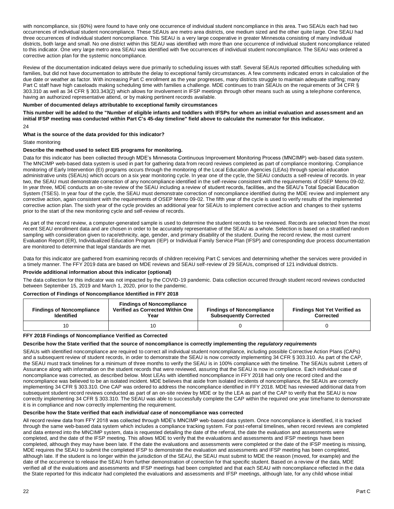with noncompliance, six (60%) were found to have only one occurrence of individual student noncompliance in this area. Two SEAUs each had two occurrences of individual student noncompliance. These SEAUs are metro area districts, one medium sized and the other quite large. One SEAU had three occurrences of individual student noncompliance. This SEAU is a very large cooperative in greater Minnesota consisting of many individual districts, both large and small. No one district within this SEAU was identified with more than one occurrence of individual student noncompliance related to this indicator. One very large metro area SEAU was identified with five occurrences of individual student noncompliance. The SEAU was ordered a corrective action plan for the systemic noncompliance.

Review of the documentation indicated delays were due primarily to scheduling issues with staff. Several SEAUs reported difficulties scheduling with families, but did not have documentation to attribute the delay to exceptional family circumstances. A few comments indicated errors in calculation of the due date or weather as factor. With increasing Part C enrollment as the year progresses, many districts struggle to maintain adequate staffing; many Part C staff have high caseloads making scheduling time with families a challenge. MDE continues to train SEAUs on the requirements of 34 CFR § 303.310 as well as 34 CFR § 303.343(2) which allows for involvement in IFSP meetings through other means such as using a telephone conference, having an authorized representative attend, or by making pertinent records available.

#### **Number of documented delays attributable to exceptional family circumstances**

**This number will be added to the "Number of eligible infants and toddlers with IFSPs for whom an initial evaluation and assessment and an initial IFSP meeting was conducted within Part C's 45-day timeline" field above to calculate the numerator for this indicator.**  24

#### **What is the source of the data provided for this indicator?**

## State monitoring

# **Describe the method used to select EIS programs for monitoring.**

Data for this indicator has been collected through MDE's Minnesota Continuous Improvement Monitoring Process (MNCIMP) web-based data system. The MNCIMP web-based data system is used in part for gathering data from record reviews completed as part of compliance monitoring. Compliance monitoring of Early Intervention (EI) programs occurs through the monitoring of the Local Education Agencies (LEAs) through special education administrative units (SEAUs) which occurs on a six year monitoring cycle. In year one of the cycle, the SEAU conducts a self-review of records. In year two, the SEAU must demonstrate correction of any noncompliance identified in the self-review consistent with the requirements of OSEP Memo 09-02. In year three, MDE conducts an on-site review of the SEAU including a review of student records, facilities, and the SEAU's Total Special Education System (TSES). In year four of the cycle, the SEAU must demonstrate correction of noncompliance identified during the MDE review and implement any corrective action, again consistent with the requirements of OSEP Memo 09-02. The fifth year of the cycle is used to verify results of the implemented corrective action plan. The sixth year of the cycle provides an additional year for SEAUs to implement corrective action and changes to their systems prior to the start of the new monitoring cycle and self-review of records.

As part of the record review, a computer-generated sample is used to determine the student records to be reviewed. Records are selected from the most recent SEAU enrollment data and are chosen in order to be accurately representative of the SEAU as a whole. Selection is based on a stratified random sampling with consideration given to race/ethnicity, age, gender, and primary disability of the student. During the record review, the most current Evaluation Report (ER), Individualized Education Program (IEP) or Individual Family Service Plan (IFSP) and corresponding due process documentation are monitored to determine that legal standards are met.

Data for this indicator are gathered from examining records of children receiving Part C services and determining whether the services were provided in a timely manner. The FFY 2019 data are based on MDE reviews and SEAU self-review of 29 SEAUs, comprised of 121 individual districts.

#### **Provide additional information about this indicator (optional)**

The data collection for this indicator was not impacted by the COVID-19 pandemic. Data collection occurred through student record reviews conducted between September 15, 2019 and March 1, 2020, prior to the pandemic.

#### **Correction of Findings of Noncompliance Identified in FFY 2018**

| <b>Findings of Noncompliance</b><br><b>Identified</b> | <b>Findings of Noncompliance</b><br>Verified as Corrected Within One<br>Year | <b>Findings of Noncompliance</b><br><b>Subsequently Corrected</b> | <b>Findings Not Yet Verified as</b><br>Corrected |
|-------------------------------------------------------|------------------------------------------------------------------------------|-------------------------------------------------------------------|--------------------------------------------------|
|                                                       |                                                                              |                                                                   |                                                  |

#### **FFY 2018 Findings of Noncompliance Verified as Corrected**

#### **Describe how the State verified that the source of noncompliance is correctly implementing the** *regulatory requirements*

SEAUs with identified noncompliance are required to correct all individual student noncompliance, including possible Corrective Action Plans (CAPs) and a subsequent review of student records, in order to demonstrate the SEAU is now correctly implementing 34 CFR § 303.310. As part of the CAP, the SEAU must track timelines for a minimum of three months to verify the SEAU is in 100% compliance with the timeline. The SEAUs submit Letters of Assurance along with information on the student records that were reviewed, assuring that the SEAU is now in compliance. Each individual case of noncompliance was corrected, as described below. Most LEAs with identified noncompliance in FFY 2018 had only one record cited and the noncompliance was believed to be an isolated incident. MDE believes that aside from isolated incidents of noncompliance, the SEAUs are correctly implementing 34 CFR § 303.310. One CAP was ordered to address the noncompliance identified in FFY 2018. MDE has reviewed additional data from subsequent student record reviews conducted as part of an on-site review by MDE or by the LEA as part of the CAP to verify that the SEAU is now correctly implementing 34 CFR § 303.310. The SEAU was able to successfully complete the CAP within the required one year timeframe to demonstrate it is in compliance and now correctly implementing the requirement.

## **Describe how the State verified that each** *individual case* **of noncompliance was corrected**

All record review data from FFY 2018 was collected through MDE's MNCIMP web-based data system. Once noncompliance is identified, it is tracked through the same web-based data system which includes a compliance tracking system. For post-referral timelines, when record reviews are completed and data entered into the MNCIMP system, data is requested detailing the date of the referral, the date the evaluation and assessments were completed, and the date of the IFSP meeting. This allows MDE to verify that the evaluations and assessments and IFSP meetings have been completed, although they may have been late. If the date the evaluations and assessments were completed or the date of the IFSP meeting is missing, MDE requires the SEAU to submit the completed IFSP to demonstrate the evaluation and assessments and IFSP meeting has been completed, although late. If the student is no longer within the jurisdiction of the SEAU, the SEAU must submit to MDE the reason (moved, for example) and the date of the occurrence to release the SEAU from further demonstration of correction for that specific student. Based on a review of the data, MDE verified all of the evaluations and assessments and IFSP meetings had been completed and that each SEAU with noncompliance reflected in the data the State reported for this indicator had completed the evaluations and assessments and IFSP meetings, although late, for any child whose initial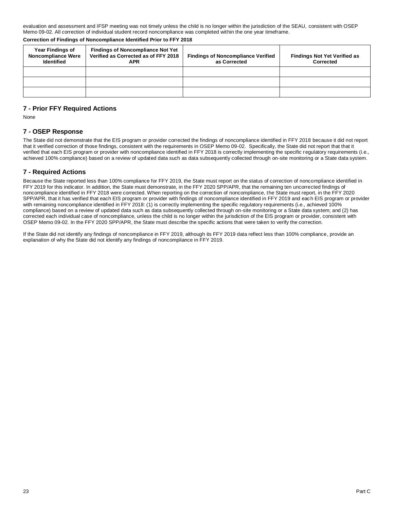evaluation and assessment and IFSP meeting was not timely unless the child is no longer within the jurisdiction of the SEAU, consistent with OSEP Memo 09-02. All correction of individual student record noncompliance was completed within the one year timeframe.

**Correction of Findings of Noncompliance Identified Prior to FFY 2018**

| <b>Year Findings of</b><br><b>Noncompliance Were</b><br><b>Identified</b> | <b>Findings of Noncompliance Not Yet</b><br>Verified as Corrected as of FFY 2018<br><b>APR</b> | <b>Findings of Noncompliance Verified</b><br>as Corrected | <b>Findings Not Yet Verified as</b><br>Corrected |
|---------------------------------------------------------------------------|------------------------------------------------------------------------------------------------|-----------------------------------------------------------|--------------------------------------------------|
|                                                                           |                                                                                                |                                                           |                                                  |
|                                                                           |                                                                                                |                                                           |                                                  |
|                                                                           |                                                                                                |                                                           |                                                  |

# **7 - Prior FFY Required Actions**

None

# **7 - OSEP Response**

The State did not demonstrate that the EIS program or provider corrected the findings of noncompliance identified in FFY 2018 because it did not report that it verified correction of those findings, consistent with the requirements in OSEP Memo 09-02. Specifically, the State did not report that that it verified that each EIS program or provider with noncompliance identified in FFY 2018 is correctly implementing the specific regulatory requirements (i.e., achieved 100% compliance) based on a review of updated data such as data subsequently collected through on-site monitoring or a State data system.

# **7 - Required Actions**

Because the State reported less than 100% compliance for FFY 2019, the State must report on the status of correction of noncompliance identified in FFY 2019 for this indicator. In addition, the State must demonstrate, in the FFY 2020 SPP/APR, that the remaining ten uncorrected findings of noncompliance identified in FFY 2018 were corrected. When reporting on the correction of noncompliance, the State must report, in the FFY 2020 SPP/APR, that it has verified that each EIS program or provider with findings of noncompliance identified in FFY 2019 and each EIS program or provider with remaining noncompliance identified in FFY 2018: (1) is correctly implementing the specific regulatory requirements (i.e., achieved 100% compliance) based on a review of updated data such as data subsequently collected through on-site monitoring or a State data system; and (2) has corrected each individual case of noncompliance, unless the child is no longer within the jurisdiction of the EIS program or provider, consistent with OSEP Memo 09-02. In the FFY 2020 SPP/APR, the State must describe the specific actions that were taken to verify the correction.

If the State did not identify any findings of noncompliance in FFY 2019, although its FFY 2019 data reflect less than 100% compliance, provide an explanation of why the State did not identify any findings of noncompliance in FFY 2019.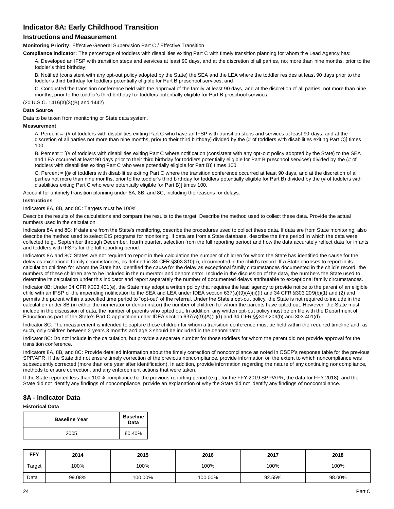# **Indicator 8A: Early Childhood Transition**

# **Instructions and Measurement**

**Monitoring Priority:** Effective General Supervision Part C / Effective Transition

**Compliance indicator:** The percentage of toddlers with disabilities exiting Part C with timely transition planning for whom the Lead Agency has:

A. Developed an IFSP with transition steps and services at least 90 days, and at the discretion of all parties, not more than nine months, prior to the toddler's third birthday;

B. Notified (consistent with any opt-out policy adopted by the State) the SEA and the LEA where the toddler resides at least 90 days prior to the toddler's third birthday for toddlers potentially eligible for Part B preschool services; and

C. Conducted the transition conference held with the approval of the family at least 90 days, and at the discretion of all parties, not more than nine months, prior to the toddler's third birthday for toddlers potentially eligible for Part B preschool services.

(20 U.S.C. 1416(a)(3)(B) and 1442)

#### **Data Source**

Data to be taken from monitoring or State data system.

#### **Measurement**

A. Percent = [(# of toddlers with disabilities exiting Part C who have an IFSP with transition steps and services at least 90 days, and at the discretion of all parties not more than nine months, prior to their third birthday) divided by the (# of toddlers with disabilities exiting Part C)] times 100.

B. Percent = [(# of toddlers with disabilities exiting Part C where notification (consistent with any opt-out policy adopted by the State) to the SEA and LEA occurred at least 90 days prior to their third birthday for toddlers potentially eligible for Part B preschool services) divided by the (# of toddlers with disabilities exiting Part C who were potentially eligible for Part B)] times 100.

C. Percent = [(# of toddlers with disabilities exiting Part C where the transition conference occurred at least 90 days, and at the discretion of all parties not more than nine months, prior to the toddler's third birthday for toddlers potentially eligible for Part B) divided by the (# of toddlers with disabilities exiting Part C who were potentially eligible for Part B)] times 100.

Account for untimely transition planning under 8A, 8B, and 8C, including the reasons for delays.

#### **Instructions**

Indicators 8A, 8B, and 8C: Targets must be 100%.

Describe the results of the calculations and compare the results to the target. Describe the method used to collect these data. Provide the actual numbers used in the calculation.

Indicators 8A and 8C: If data are from the State's monitoring, describe the procedures used to collect these data. If data are from State monitoring, also describe the method used to select EIS programs for monitoring. If data are from a State database, describe the time period in which the data were collected (e.g., September through December, fourth quarter, selection from the full reporting period) and how the data accurately reflect data for infants and toddlers with IFSPs for the full reporting period.

Indicators 8A and 8C: States are not required to report in their calculation the number of children for whom the State has identified the cause for the delay as exceptional family circumstances, as defined in 34 CFR §303.310(b), documented in the child's record. If a State chooses to report in its calculation children for whom the State has identified the cause for the delay as exceptional family circumstances documented in the child's record, the numbers of these children are to be included in the numerator and denominator. Include in the discussion of the data, the numbers the State used to determine its calculation under this indicator and report separately the number of documented delays attributable to exceptional family circumstances.

Indicator 8B: Under 34 CFR §303.401(e), the State may adopt a written policy that requires the lead agency to provide notice to the parent of an eligible child with an IFSP of the impending notification to the SEA and LEA under IDEA section 637(a)(9)(A)(ii)(I) and 34 CFR §303.209(b)(1) and (2) and permits the parent within a specified time period to "opt-out" of the referral. Under the State's opt-out policy, the State is not required to include in the calculation under 8B (in either the numerator or denominator) the number of children for whom the parents have opted out. However, the State must include in the discussion of data, the number of parents who opted out. In addition, any written opt-out policy must be on file with the Department of Education as part of the State's Part C application under IDEA section 637(a)(9)(A)(ii)(I) and 34 CFR §§303.209(b) and 303.401(d).

Indicator 8C: The measurement is intended to capture those children for whom a transition conference must be held within the required timeline and, as such, only children between 2 years 3 months and age 3 should be included in the denominator.

Indicator 8C: Do not include in the calculation, but provide a separate number for those toddlers for whom the parent did not provide approval for the transition conference.

Indicators 8A, 8B, and 8C: Provide detailed information about the timely correction of noncompliance as noted in OSEP's response table for the previous SPP/APR. If the State did not ensure timely correction of the previous noncompliance, provide information on the extent to which noncompliance was subsequently corrected (more than one year after identification). In addition, provide information regarding the nature of any continuing noncompliance, methods to ensure correction, and any enforcement actions that were taken.

If the State reported less than 100% compliance for the previous reporting period (e.g., for the FFY 2019 SPP/APR, the data for FFY 2018), and the State did not identify any findings of noncompliance, provide an explanation of why the State did not identify any findings of noncompliance.

# **8A - Indicator Data**

#### **Historical Data**

| <b>Baseline Year</b> | <b>Baseline</b><br>Data |
|----------------------|-------------------------|
| 2005                 | 80.40%                  |

| <b>FFY</b> | 2014   | 2015    | 2016    | 2017   | 2018   |
|------------|--------|---------|---------|--------|--------|
| Target     | 100%   | 100%    | 100%    | 100%   | 100%   |
| Data       | 99.08% | 100.00% | 100.00% | 92.55% | 98.00% |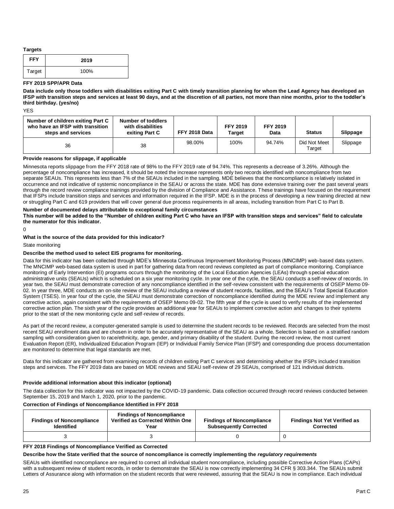#### **Targets**

| <b>FFY</b> | 2019 |
|------------|------|
| Target     | 100% |

#### **FFY 2019 SPP/APR Data**

**Data include only those toddlers with disabilities exiting Part C with timely transition planning for whom the Lead Agency has developed an IFSP with transition steps and services at least 90 days, and at the discretion of all parties, not more than nine months, prior to the toddler's third birthday. (yes/no)** 

YES

| Number of children exiting Part C<br>who have an IFSP with transition<br>steps and services | Number of toddlers<br>with disabilities<br>exiting Part C | FFY 2018 Data | <b>FFY 2019</b><br>Target | <b>FFY 2019</b><br>Data | <b>Status</b>          | Slippage |
|---------------------------------------------------------------------------------------------|-----------------------------------------------------------|---------------|---------------------------|-------------------------|------------------------|----------|
| 36                                                                                          | 38                                                        | 98.00%        | 100%                      | 94.74%                  | Did Not Meet<br>Target | Slippage |

#### **Provide reasons for slippage, if applicable**

Minnesota reports slippage from the FFY 2018 rate of 98% to the FFY 2019 rate of 94.74%. This represents a decrease of 3.26%. Although the percentage of noncompliance has increased, it should be noted the increase represents only two records identified with noncompliance from two separate SEAUs. This represents less than 7% of the SEAUs included in the sampling. MDE believes that the noncompliance is relatively isolated in occurrence and not indicative of systemic noncompliance in the SEAU or across the state. MDE has done extensive training over the past several years through the record review compliance trainings provided by the division of Compliance and Assistance. These trainings have focused on the requirement that IFSPs include transition steps and services and information required in the IFSP. MDE is in the process of developing a new training directed at new or struggling Part C and 619 providers that will cover general due process requirements in all areas, including transition from Part C to Part B.

#### **Number of documented delays attributable to exceptional family circumstances**

**This number will be added to the "Number of children exiting Part C who have an IFSP with transition steps and services" field to calculate the numerator for this indicator.** 

 $\Omega$ 

#### **What is the source of the data provided for this indicator?**

State monitoring

#### **Describe the method used to select EIS programs for monitoring.**

Data for this indicator has been collected through MDE's Minnesota Continuous Improvement Monitoring Process (MNCIMP) web-based data system. The MNCIMP web-based data system is used in part for gathering data from record reviews completed as part of compliance monitoring. Compliance monitoring of Early Intervention (EI) programs occurs through the monitoring of the Local Education Agencies (LEAs) through special education administrative units (SEAUs) which is scheduled on a six year monitoring cycle. In year one of the cycle, the SEAU conducts a self-review of records. In year two, the SEAU must demonstrate correction of any noncompliance identified in the self-review consistent with the requirements of OSEP Memo 09- 02. In year three, MDE conducts an on-site review of the SEAU including a review of student records, facilities, and the SEAU's Total Special Education System (TSES). In year four of the cycle, the SEAU must demonstrate correction of noncompliance identified during the MDE review and implement any corrective action, again consistent with the requirements of OSEP Memo 09-02. The fifth year of the cycle is used to verify results of the implemented corrective action plan. The sixth year of the cycle provides an additional year for SEAUs to implement corrective action and changes to their systems prior to the start of the new monitoring cycle and self-review of records.

As part of the record review, a computer-generated sample is used to determine the student records to be reviewed. Records are selected from the most recent SEAU enrollment data and are chosen in order to be accurately representative of the SEAU as a whole. Selection is based on a stratified random sampling with consideration given to race/ethnicity, age, gender, and primary disability of the student. During the record review, the most current Evaluation Report (ER), Individualized Education Program (IEP) or Individual Family Service Plan (IFSP) and corresponding due process documentation are monitored to determine that legal standards are met.

Data for this indicator are gathered from examining records of children exiting Part C services and determining whether the IFSPs included transition steps and services. The FFY 2019 data are based on MDE reviews and SEAU self-review of 29 SEAUs, comprised of 121 individual districts.

#### **Provide additional information about this indicator (optional)**

The data collection for this indicator was not impacted by the COVID-19 pandemic. Data collection occurred through record reviews conducted between September 15, 2019 and March 1, 2020, prior to the pandemic.

#### **Correction of Findings of Noncompliance Identified in FFY 2018**

| <b>Findings of Noncompliance</b><br><b>Identified</b> | <b>Findings of Noncompliance</b><br>Verified as Corrected Within One<br>Year | <b>Findings of Noncompliance</b><br><b>Subsequently Corrected</b> | <b>Findings Not Yet Verified as</b><br>Corrected |
|-------------------------------------------------------|------------------------------------------------------------------------------|-------------------------------------------------------------------|--------------------------------------------------|
|                                                       |                                                                              |                                                                   |                                                  |

#### **FFY 2018 Findings of Noncompliance Verified as Corrected**

#### **Describe how the State verified that the source of noncompliance is correctly implementing the** *regulatory requirements*

SEAUs with identified noncompliance are required to correct all individual student noncompliance, including possible Corrective Action Plans (CAPs) with a subsequent review of student records, in order to demonstrate the SEAU is now correctly implementing 34 CFR § 303.344. The SEAUs submit Letters of Assurance along with information on the student records that were reviewed, assuring that the SEAU is now in compliance. Each individual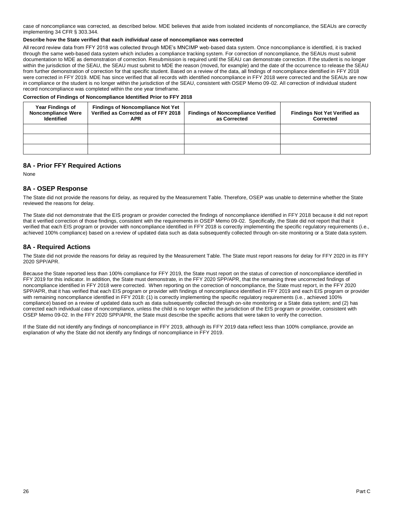case of noncompliance was corrected, as described below. MDE believes that aside from isolated incidents of noncompliance, the SEAUs are correctly implementing 34 CFR § 303.344.

#### **Describe how the State verified that each** *individual case* **of noncompliance was corrected**

All record review data from FFY 2018 was collected through MDE's MNCIMP web-based data system. Once noncompliance is identified, it is tracked through the same web-based data system which includes a compliance tracking system. For correction of noncompliance, the SEAUs must submit documentation to MDE as demonstration of correction. Resubmission is required until the SEAU can demonstrate correction. If the student is no longer within the jurisdiction of the SEAU, the SEAU must submit to MDE the reason (moved, for example) and the date of the occurrence to release the SEAU from further demonstration of correction for that specific student. Based on a review of the data, all findings of noncompliance identified in FFY 2018 were corrected in FFY 2019. MDE has since verified that all records with identified noncompliance in FFY 2018 were corrected and the SEAUs are now in compliance or the student is no longer within the jurisdiction of the SEAU, consistent with OSEP Memo 09-02. All correction of individual student record noncompliance was completed within the one year timeframe.

**Correction of Findings of Noncompliance Identified Prior to FFY 2018**

| <b>Year Findings of</b><br><b>Noncompliance Were</b><br><b>Identified</b> | <b>Findings of Noncompliance Not Yet</b><br>Verified as Corrected as of FFY 2018<br>APR | <b>Findings of Noncompliance Verified</b><br>as Corrected | <b>Findings Not Yet Verified as</b><br>Corrected |
|---------------------------------------------------------------------------|-----------------------------------------------------------------------------------------|-----------------------------------------------------------|--------------------------------------------------|
|                                                                           |                                                                                         |                                                           |                                                  |
|                                                                           |                                                                                         |                                                           |                                                  |
|                                                                           |                                                                                         |                                                           |                                                  |

# **8A - Prior FFY Required Actions**

None

# **8A - OSEP Response**

The State did not provide the reasons for delay, as required by the Measurement Table. Therefore, OSEP was unable to determine whether the State reviewed the reasons for delay.

The State did not demonstrate that the EIS program or provider corrected the findings of noncompliance identified in FFY 2018 because it did not report that it verified correction of those findings, consistent with the requirements in OSEP Memo 09-02. Specifically, the State did not report that that it verified that each EIS program or provider with noncompliance identified in FFY 2018 is correctly implementing the specific regulatory requirements (i.e., achieved 100% compliance) based on a review of updated data such as data subsequently collected through on-site monitoring or a State data system.

# **8A - Required Actions**

The State did not provide the reasons for delay as required by the Measurement Table. The State must report reasons for delay for FFY 2020 in its FFY 2020 SPP/APR.

Because the State reported less than 100% compliance for FFY 2019, the State must report on the status of correction of noncompliance identified in FFY 2019 for this indicator. In addition, the State must demonstrate, in the FFY 2020 SPP/APR, that the remaining three uncorrected findings of noncompliance identified in FFY 2018 were corrected. When reporting on the correction of noncompliance, the State must report, in the FFY 2020 SPP/APR, that it has verified that each EIS program or provider with findings of noncompliance identified in FFY 2019 and each EIS program or provider with remaining noncompliance identified in FFY 2018: (1) is correctly implementing the specific regulatory requirements (i.e., achieved 100% compliance) based on a review of updated data such as data subsequently collected through on-site monitoring or a State data system; and (2) has corrected each individual case of noncompliance, unless the child is no longer within the jurisdiction of the EIS program or provider, consistent with OSEP Memo 09-02. In the FFY 2020 SPP/APR, the State must describe the specific actions that were taken to verify the correction.

If the State did not identify any findings of noncompliance in FFY 2019, although its FFY 2019 data reflect less than 100% compliance, provide an explanation of why the State did not identify any findings of noncompliance in FFY 2019.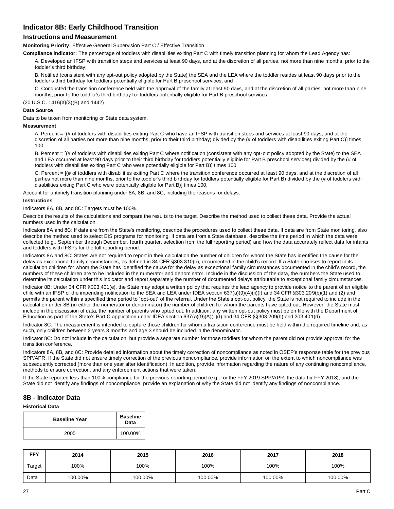# **Indicator 8B: Early Childhood Transition**

# **Instructions and Measurement**

**Monitoring Priority:** Effective General Supervision Part C / Effective Transition

**Compliance indicator:** The percentage of toddlers with disabilities exiting Part C with timely transition planning for whom the Lead Agency has:

A. Developed an IFSP with transition steps and services at least 90 days, and at the discretion of all parties, not more than nine months, prior to the toddler's third birthday;

B. Notified (consistent with any opt-out policy adopted by the State) the SEA and the LEA where the toddler resides at least 90 days prior to the toddler's third birthday for toddlers potentially eligible for Part B preschool services; and

C. Conducted the transition conference held with the approval of the family at least 90 days, and at the discretion of all parties, not more than nine months, prior to the toddler's third birthday for toddlers potentially eligible for Part B preschool services.

(20 U.S.C. 1416(a)(3)(B) and 1442)

#### **Data Source**

Data to be taken from monitoring or State data system.

#### **Measurement**

A. Percent = [(# of toddlers with disabilities exiting Part C who have an IFSP with transition steps and services at least 90 days, and at the discretion of all parties not more than nine months, prior to their third birthday) divided by the (# of toddlers with disabilities exiting Part C)] times 100.

B. Percent = [(# of toddlers with disabilities exiting Part C where notification (consistent with any opt-out policy adopted by the State) to the SEA and LEA occurred at least 90 days prior to their third birthday for toddlers potentially eligible for Part B preschool services) divided by the (# of toddlers with disabilities exiting Part C who were potentially eligible for Part B)] times 100.

C. Percent = [(# of toddlers with disabilities exiting Part C where the transition conference occurred at least 90 days, and at the discretion of all parties not more than nine months, prior to the toddler's third birthday for toddlers potentially eligible for Part B) divided by the (# of toddlers with disabilities exiting Part C who were potentially eligible for Part B)] times 100.

Account for untimely transition planning under 8A, 8B, and 8C, including the reasons for delays.

#### **Instructions**

Indicators 8A, 8B, and 8C: Targets must be 100%.

Describe the results of the calculations and compare the results to the target. Describe the method used to collect these data. Provide the actual numbers used in the calculation.

Indicators 8A and 8C: If data are from the State's monitoring, describe the procedures used to collect these data. If data are from State monitoring, also describe the method used to select EIS programs for monitoring. If data are from a State database, describe the time period in which the data were collected (e.g., September through December, fourth quarter, selection from the full reporting period) and how the data accurately reflect data for infants and toddlers with IFSPs for the full reporting period.

Indicators 8A and 8C: States are not required to report in their calculation the number of children for whom the State has identified the cause for the delay as exceptional family circumstances, as defined in 34 CFR §303.310(b), documented in the child's record. If a State chooses to report in its calculation children for whom the State has identified the cause for the delay as exceptional family circumstances documented in the child's record, the numbers of these children are to be included in the numerator and denominator. Include in the discussion of the data, the numbers the State used to determine its calculation under this indicator and report separately the number of documented delays attributable to exceptional family circumstances.

Indicator 8B: Under 34 CFR §303.401(e), the State may adopt a written policy that requires the lead agency to provide notice to the parent of an eligible child with an IFSP of the impending notification to the SEA and LEA under IDEA section 637(a)(9)(A)(ii)(I) and 34 CFR §303.209(b)(1) and (2) and permits the parent within a specified time period to "opt-out" of the referral. Under the State's opt-out policy, the State is not required to include in the calculation under 8B (in either the numerator or denominator) the number of children for whom the parents have opted out. However, the State must include in the discussion of data, the number of parents who opted out. In addition, any written opt-out policy must be on file with the Department of Education as part of the State's Part C application under IDEA section 637(a)(9)(A)(ii)(I) and 34 CFR §§303.209(b) and 303.401(d).

Indicator 8C: The measurement is intended to capture those children for whom a transition conference must be held within the required timeline and, as such, only children between 2 years 3 months and age 3 should be included in the denominator.

Indicator 8C: Do not include in the calculation, but provide a separate number for those toddlers for whom the parent did not provide approval for the transition conference.

Indicators 8A, 8B, and 8C: Provide detailed information about the timely correction of noncompliance as noted in OSEP's response table for the previous SPP/APR. If the State did not ensure timely correction of the previous noncompliance, provide information on the extent to which noncompliance was subsequently corrected (more than one year after identification). In addition, provide information regarding the nature of any continuing noncompliance, methods to ensure correction, and any enforcement actions that were taken.

If the State reported less than 100% compliance for the previous reporting period (e.g., for the FFY 2019 SPP/APR, the data for FFY 2018), and the State did not identify any findings of noncompliance, provide an explanation of why the State did not identify any findings of noncompliance.

# **8B - Indicator Data**

#### **Historical Data**

| <b>Baseline Year</b> | <b>Baseline</b><br>Data |
|----------------------|-------------------------|
| 2005                 | 100.00%                 |

| <b>FFY</b> | 2014    | 2015    | 2016    | 2017    | 2018    |
|------------|---------|---------|---------|---------|---------|
| Target     | 100%    | 100%    | 100%    | 100%    | 100%    |
| Data       | 100.00% | 100.00% | 100.00% | 100.00% | 100.00% |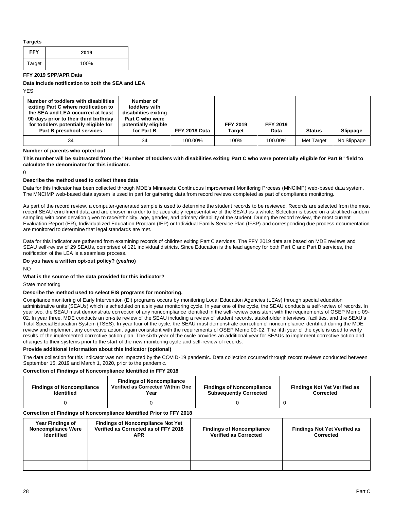#### **Targets**

| <b>FFY</b> | 2019 |
|------------|------|
| Target     | 100% |

**FFY 2019 SPP/APR Data** 

**Data include notification to both the SEA and LEA** 

YES

| Number of toddlers with disabilities<br>exiting Part C where notification to<br>the SEA and LEA occurred at least<br>90 days prior to their third birthday<br>for toddlers potentially eligible for<br>Part B preschool services | Number of<br>toddlers with<br>disabilities exiting<br>Part C who were<br>potentially eligible<br>for Part B | FFY 2018 Data | <b>FFY 2019</b><br>Target | <b>FFY 2019</b><br>Data | <b>Status</b> | Slippage    |
|----------------------------------------------------------------------------------------------------------------------------------------------------------------------------------------------------------------------------------|-------------------------------------------------------------------------------------------------------------|---------------|---------------------------|-------------------------|---------------|-------------|
| 34                                                                                                                                                                                                                               | 34                                                                                                          | 100.00%       | 100%                      | 100.00%                 | Met Target    | No Slippage |

**Number of parents who opted out** 

**This number will be subtracted from the "Number of toddlers with disabilities exiting Part C who were potentially eligible for Part B" field to calculate the denominator for this indicator.** 

 $\Omega$ 

#### **Describe the method used to collect these data**

Data for this indicator has been collected through MDE's Minnesota Continuous Improvement Monitoring Process (MNCIMP) web-based data system. The MNCIMP web-based data system is used in part for gathering data from record reviews completed as part of compliance monitoring.

As part of the record review, a computer-generated sample is used to determine the student records to be reviewed. Records are selected from the most recent SEAU enrollment data and are chosen in order to be accurately representative of the SEAU as a whole. Selection is based on a stratified random sampling with consideration given to race/ethnicity, age, gender, and primary disability of the student. During the record review, the most current Evaluation Report (ER), Individualized Education Program (IEP) or Individual Family Service Plan (IFSP) and corresponding due process documentation are monitored to determine that legal standards are met.

Data for this indicator are gathered from examining records of children exiting Part C services. The FFY 2019 data are based on MDE reviews and SEAU self-review of 29 SEAUs, comprised of 121 individual districts. Since Education is the lead agency for both Part C and Part B services, the notification of the LEA is a seamless process.

#### **Do you have a written opt-out policy? (yes/no)**

 $N<sub>O</sub>$ 

#### **What is the source of the data provided for this indicator?**

State monitoring

#### **Describe the method used to select EIS programs for monitoring.**

Compliance monitoring of Early Intervention (EI) programs occurs by monitoring Local Education Agencies (LEAs) through special education administrative units (SEAUs) which is scheduled on a six year monitoring cycle. In year one of the cycle, the SEAU conducts a self-review of records. In year two, the SEAU must demonstrate correction of any noncompliance identified in the self-review consistent with the requirements of OSEP Memo 09- 02. In year three, MDE conducts an on-site review of the SEAU including a review of student records, stakeholder interviews, facilities, and the SEAU's Total Special Education System (TSES). In year four of the cycle, the SEAU must demonstrate correction of noncompliance identified during the MDE review and implement any corrective action, again consistent with the requirements of OSEP Memo 09-02. The fifth year of the cycle is used to verify results of the implemented corrective action plan. The sixth year of the cycle provides an additional year for SEAUs to implement corrective action and changes to their systems prior to the start of the new monitoring cycle and self-review of records.

#### **Provide additional information about this indicator (optional)**

The data collection for this indicator was not impacted by the COVID-19 pandemic. Data collection occurred through record reviews conducted between September 15, 2019 and March 1, 2020, prior to the pandemic.

#### **Correction of Findings of Noncompliance Identified in FFY 2018**

| <b>Findings of Noncompliance</b><br><b>Identified</b> | <b>Findings of Noncompliance</b><br>Verified as Corrected Within One<br>Year | <b>Findings of Noncompliance</b><br><b>Subsequently Corrected</b> | <b>Findings Not Yet Verified as</b><br>Corrected |
|-------------------------------------------------------|------------------------------------------------------------------------------|-------------------------------------------------------------------|--------------------------------------------------|
|                                                       |                                                                              |                                                                   |                                                  |

#### **Correction of Findings of Noncompliance Identified Prior to FFY 2018**

| <b>Year Findings of</b><br><b>Noncompliance Were</b><br><b>Identified</b> | <b>Findings of Noncompliance Not Yet</b><br>Verified as Corrected as of FFY 2018<br>APR | <b>Findings of Noncompliance</b><br><b>Verified as Corrected</b> | <b>Findings Not Yet Verified as</b><br><b>Corrected</b> |
|---------------------------------------------------------------------------|-----------------------------------------------------------------------------------------|------------------------------------------------------------------|---------------------------------------------------------|
|                                                                           |                                                                                         |                                                                  |                                                         |
|                                                                           |                                                                                         |                                                                  |                                                         |
|                                                                           |                                                                                         |                                                                  |                                                         |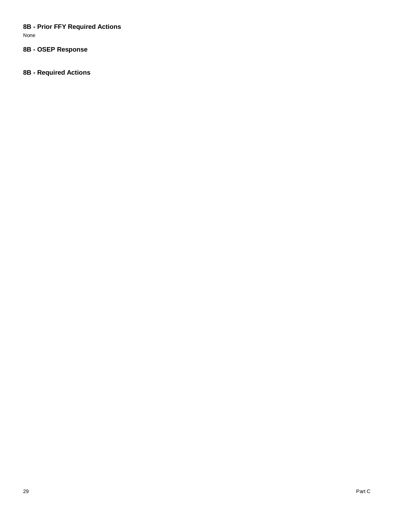# **8B - Prior FFY Required Actions**

None

# **8B - OSEP Response**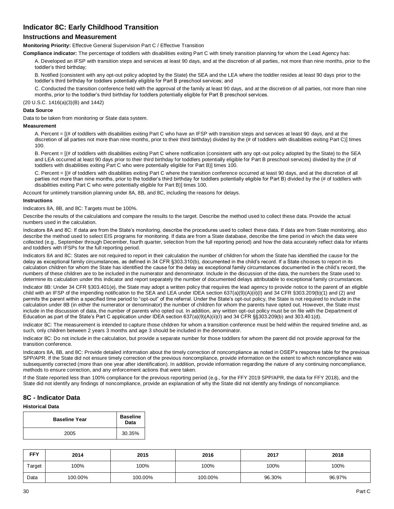# **Indicator 8C: Early Childhood Transition**

# **Instructions and Measurement**

**Monitoring Priority:** Effective General Supervision Part C / Effective Transition

**Compliance indicator:** The percentage of toddlers with disabilities exiting Part C with timely transition planning for whom the Lead Agency has:

A. Developed an IFSP with transition steps and services at least 90 days, and at the discretion of all parties, not more than nine months, prior to the toddler's third birthday;

B. Notified (consistent with any opt-out policy adopted by the State) the SEA and the LEA where the toddler resides at least 90 days prior to the toddler's third birthday for toddlers potentially eligible for Part B preschool services; and

C. Conducted the transition conference held with the approval of the family at least 90 days, and at the discretion of all parties, not more than nine months, prior to the toddler's third birthday for toddlers potentially eligible for Part B preschool services.

(20 U.S.C. 1416(a)(3)(B) and 1442)

#### **Data Source**

Data to be taken from monitoring or State data system.

#### **Measurement**

A. Percent = [(# of toddlers with disabilities exiting Part C who have an IFSP with transition steps and services at least 90 days, and at the discretion of all parties not more than nine months, prior to their third birthday) divided by the (# of toddlers with disabilities exiting Part C)] times 100.

B. Percent = [(# of toddlers with disabilities exiting Part C where notification (consistent with any opt-out policy adopted by the State) to the SEA and LEA occurred at least 90 days prior to their third birthday for toddlers potentially eligible for Part B preschool services) divided by the (# of toddlers with disabilities exiting Part C who were potentially eligible for Part B)] times 100.

C. Percent = [(# of toddlers with disabilities exiting Part C where the transition conference occurred at least 90 days, and at the discretion of all parties not more than nine months, prior to the toddler's third birthday for toddlers potentially eligible for Part B) divided by the (# of toddlers with disabilities exiting Part C who were potentially eligible for Part B)] times 100.

Account for untimely transition planning under 8A, 8B, and 8C, including the reasons for delays.

#### **Instructions**

Indicators 8A, 8B, and 8C: Targets must be 100%.

Describe the results of the calculations and compare the results to the target. Describe the method used to collect these data. Provide the actual numbers used in the calculation.

Indicators 8A and 8C: If data are from the State's monitoring, describe the procedures used to collect these data. If data are from State monitoring, also describe the method used to select EIS programs for monitoring. If data are from a State database, describe the time period in which the data were collected (e.g., September through December, fourth quarter, selection from the full reporting period) and how the data accurately reflect data for infants and toddlers with IFSPs for the full reporting period.

Indicators 8A and 8C: States are not required to report in their calculation the number of children for whom the State has identified the cause for the delay as exceptional family circumstances, as defined in 34 CFR §303.310(b), documented in the child's record. If a State chooses to report in its calculation children for whom the State has identified the cause for the delay as exceptional family circumstances documented in the child's record, the numbers of these children are to be included in the numerator and denominator. Include in the discussion of the data, the numbers the State used to determine its calculation under this indicator and report separately the number of documented delays attributable to exceptional family circumstances.

Indicator 8B: Under 34 CFR §303.401(e), the State may adopt a written policy that requires the lead agency to provide notice to the parent of an eligible child with an IFSP of the impending notification to the SEA and LEA under IDEA section 637(a)(9)(A)(ii)(I) and 34 CFR §303.209(b)(1) and (2) and permits the parent within a specified time period to "opt-out" of the referral. Under the State's opt-out policy, the State is not required to include in the calculation under 8B (in either the numerator or denominator) the number of children for whom the parents have opted out. However, the State must include in the discussion of data, the number of parents who opted out. In addition, any written opt-out policy must be on file with the Department of Education as part of the State's Part C application under IDEA section 637(a)(9)(A)(ii)(I) and 34 CFR §§303.209(b) and 303.401(d).

Indicator 8C: The measurement is intended to capture those children for whom a transition conference must be held within the required timeline and, as such, only children between 2 years 3 months and age 3 should be included in the denominator.

Indicator 8C: Do not include in the calculation, but provide a separate number for those toddlers for whom the parent did not provide approval for the transition conference.

Indicators 8A, 8B, and 8C: Provide detailed information about the timely correction of noncompliance as noted in OSEP's response table for the previous SPP/APR. If the State did not ensure timely correction of the previous noncompliance, provide information on the extent to which noncompliance was subsequently corrected (more than one year after identification). In addition, provide information regarding the nature of any continuing noncompliance, methods to ensure correction, and any enforcement actions that were taken.

If the State reported less than 100% compliance for the previous reporting period (e.g., for the FFY 2019 SPP/APR, the data for FFY 2018), and the State did not identify any findings of noncompliance, provide an explanation of why the State did not identify any findings of noncompliance.

# **8C - Indicator Data**

#### **Historical Data**

| <b>Baseline Year</b> | <b>Baseline</b><br>Data |
|----------------------|-------------------------|
| 2005                 | 30.35%                  |

| <b>FFY</b> | 2014    | 2015    | 2016    | 2017   | 2018   |
|------------|---------|---------|---------|--------|--------|
| Target     | 100%    | 100%    | 100%    | 100%   | 100%   |
| Data       | 100.00% | 100.00% | 100.00% | 96.30% | 96.97% |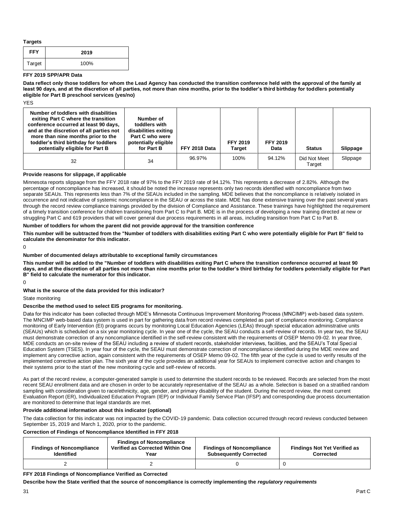**Targets** 

| <b>FFY</b> | 2019 |
|------------|------|
| Target     | 100% |

#### **FFY 2019 SPP/APR Data**

**Data reflect only those toddlers for whom the Lead Agency has conducted the transition conference held with the approval of the family at least 90 days, and at the discretion of all parties, not more than nine months, prior to the toddler's third birthday for toddlers potentially eligible for Part B preschool services (yes/no)** 

**YES** 

| Number of toddlers with disabilities<br>exiting Part C where the transition<br>conference occurred at least 90 days,<br>and at the discretion of all parties not<br>more than nine months prior to the<br>toddler's third birthday for toddlers<br>potentially eligible for Part B | Number of<br>toddlers with<br>disabilities exiting<br>Part C who were<br>potentially eligible<br>for Part B | FFY 2018 Data | <b>FFY 2019</b><br><b>Target</b> | <b>FFY 2019</b><br>Data | <b>Status</b>          | Slippage |
|------------------------------------------------------------------------------------------------------------------------------------------------------------------------------------------------------------------------------------------------------------------------------------|-------------------------------------------------------------------------------------------------------------|---------------|----------------------------------|-------------------------|------------------------|----------|
| 32                                                                                                                                                                                                                                                                                 | 34                                                                                                          | 96.97%        | 100%                             | 94.12%                  | Did Not Meet<br>Target | Slippage |

#### **Provide reasons for slippage, if applicable**

Minnesota reports slippage from the FFY 2018 rate of 97% to the FFY 2019 rate of 94.12%. This represents a decrease of 2.82%. Although the percentage of noncompliance has increased, it should be noted the increase represents only two records identified with noncompliance from two separate SEAUs. This represents less than 7% of the SEAUs included in the sampling. MDE believes that the noncompliance is relatively isolated in occurrence and not indicative of systemic noncompliance in the SEAU or across the state. MDE has done extensive training over the past several years through the record review compliance trainings provided by the division of Compliance and Assistance. These trainings have highlighted the requirement of a timely transition conference for children transitioning from Part C to Part B. MDE is in the process of developing a new training directed at new or struggling Part C and 619 providers that will cover general due process requirements in all areas, including transition from Part C to Part B.

#### **Number of toddlers for whom the parent did not provide approval for the transition conference**

**This number will be subtracted from the "Number of toddlers with disabilities exiting Part C who were potentially eligible for Part B" field to calculate the denominator for this indicator.** 

 $\Omega$ 

#### **Number of documented delays attributable to exceptional family circumstances**

**This number will be added to the "Number of toddlers with disabilities exiting Part C where the transition conference occurred at least 90 days, and at the discretion of all parties not more than nine months prior to the toddler's third birthday for toddlers potentially eligible for Part B" field to calculate the numerator for this indicator.** 

 $\Omega$ 

#### **What is the source of the data provided for this indicator?**

State monitoring

#### **Describe the method used to select EIS programs for monitoring.**

Data for this indicator has been collected through MDE's Minnesota Continuous Improvement Monitoring Process (MNCIMP) web-based data system. The MNCIMP web-based data system is used in part for gathering data from record reviews completed as part of compliance monitoring. Compliance monitoring of Early Intervention (EI) programs occurs by monitoring Local Education Agencies (LEAs) through special education administrative units (SEAUs) which is scheduled on a six year monitoring cycle. In year one of the cycle, the SEAU conducts a self-review of records. In year two, the SEAU must demonstrate correction of any noncompliance identified in the self-review consistent with the requirements of OSEP Memo 09-02. In year three, MDE conducts an on-site review of the SEAU including a review of student records, stakeholder interviews, facilities, and the SEAU's Total Special Education System (TSES). In year four of the cycle, the SEAU must demonstrate correction of noncompliance identified during the MDE review and implement any corrective action, again consistent with the requirements of OSEP Memo 09-02. The fifth year of the cycle is used to verify results of the implemented corrective action plan. The sixth year of the cycle provides an additional year for SEAUs to implement corrective action and changes to their systems prior to the start of the new monitoring cycle and self-review of records.

As part of the record review, a computer-generated sample is used to determine the student records to be reviewed. Records are selected from the most recent SEAU enrollment data and are chosen in order to be accurately representative of the SEAU as a whole. Selection is based on a stratified random sampling with consideration given to race/ethnicity, age, gender, and primary disability of the student. During the record review, the most current Evaluation Report (ER), Individualized Education Program (IEP) or Individual Family Service Plan (IFSP) and corresponding due process documentation are monitored to determine that legal standards are met.

#### **Provide additional information about this indicator (optional)**

The data collection for this indicator was not impacted by the COVID-19 pandemic. Data collection occurred through record reviews conducted between September 15, 2019 and March 1, 2020, prior to the pandemic.

#### **Correction of Findings of Noncompliance Identified in FFY 2018**

| <b>Findings of Noncompliance</b><br><b>Identified</b> | <b>Findings of Noncompliance</b><br>Verified as Corrected Within One<br>Year | <b>Findings of Noncompliance</b><br><b>Subsequently Corrected</b> | <b>Findings Not Yet Verified as</b><br><b>Corrected</b> |
|-------------------------------------------------------|------------------------------------------------------------------------------|-------------------------------------------------------------------|---------------------------------------------------------|
|                                                       |                                                                              |                                                                   |                                                         |

#### **FFY 2018 Findings of Noncompliance Verified as Corrected**

**Describe how the State verified that the source of noncompliance is correctly implementing the** *regulatory requirements*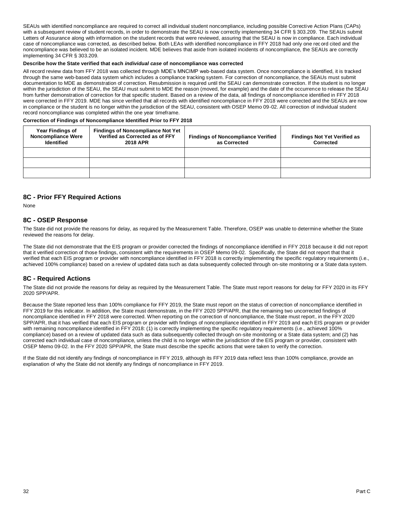SEAUs with identified noncompliance are required to correct all individual student noncompliance, including possible Corrective Action Plans (CAPs) with a subsequent review of student records, in order to demonstrate the SEAU is now correctly implementing 34 CFR § 303.209. The SEAUs submit Letters of Assurance along with information on the student records that were reviewed, assuring that the SEAU is now in compliance. Each individual case of noncompliance was corrected, as described below. Both LEAs with identified noncompliance in FFY 2018 had only one rec ord cited and the noncompliance was believed to be an isolated incident. MDE believes that aside from isolated incidents of noncompliance, the SEAUs are correctly implementing 34 CFR § 303.209.

#### **Describe how the State verified that each** *individual case* **of noncompliance was corrected**

All record review data from FFY 2018 was collected through MDE's MNCIMP web-based data system. Once noncompliance is identified, it is tracked through the same web-based data system which includes a compliance tracking system. For correction of noncompliance, the SEAUs must submit documentation to MDE as demonstration of correction. Resubmission is required until the SEAU can demonstrate correction. If the student is no longer within the jurisdiction of the SEAU, the SEAU must submit to MDE the reason (moved, for example) and the date of the occurrence to release the SEAU from further demonstration of correction for that specific student. Based on a review of the data, all findings of noncompliance identified in FFY 2018 were corrected in FFY 2019. MDE has since verified that all records with identified noncompliance in FFY 2018 were corrected and the SEAUs are now in compliance or the student is no longer within the jurisdiction of the SEAU, consistent with OSEP Memo 09-02. All correction of individual student record noncompliance was completed within the one year timeframe.

#### **Correction of Findings of Noncompliance Identified Prior to FFY 2018**

| <b>Year Findings of</b><br><b>Noncompliance Were</b><br><b>Identified</b> | <b>Findings of Noncompliance Not Yet</b><br>Verified as Corrected as of FFY<br><b>2018 APR</b> | <b>Findings of Noncompliance Verified</b><br>as Corrected | <b>Findings Not Yet Verified as</b><br>Corrected |
|---------------------------------------------------------------------------|------------------------------------------------------------------------------------------------|-----------------------------------------------------------|--------------------------------------------------|
|                                                                           |                                                                                                |                                                           |                                                  |
|                                                                           |                                                                                                |                                                           |                                                  |
|                                                                           |                                                                                                |                                                           |                                                  |

# **8C - Prior FFY Required Actions**

None

# **8C - OSEP Response**

The State did not provide the reasons for delay, as required by the Measurement Table. Therefore, OSEP was unable to determine whether the State reviewed the reasons for delay.

The State did not demonstrate that the EIS program or provider corrected the findings of noncompliance identified in FFY 2018 because it did not report that it verified correction of those findings, consistent with the requirements in OSEP Memo 09-02. Specifically, the State did not report that that it verified that each EIS program or provider with noncompliance identified in FFY 2018 is correctly implementing the specific regulatory requirements (i.e., achieved 100% compliance) based on a review of updated data such as data subsequently collected through on-site monitoring or a State data system.

## **8C - Required Actions**

The State did not provide the reasons for delay as required by the Measurement Table. The State must report reasons for delay for FFY 2020 in its FFY 2020 SPP/APR.

Because the State reported less than 100% compliance for FFY 2019, the State must report on the status of correction of noncompliance identified in FFY 2019 for this indicator. In addition, the State must demonstrate, in the FFY 2020 SPP/APR, that the remaining two uncorrected findings of noncompliance identified in FFY 2018 were corrected. When reporting on the correction of noncompliance, the State must report, in the FFY 2020 SPP/APR, that it has verified that each EIS program or provider with findings of noncompliance identified in FFY 2019 and each EIS program or provider with remaining noncompliance identified in FFY 2018: (1) is correctly implementing the specific regulatory requirements (i.e., achieved 100% compliance) based on a review of updated data such as data subsequently collected through on-site monitoring or a State data system; and (2) has corrected each individual case of noncompliance, unless the child is no longer within the jurisdiction of the EIS program or provider, consistent with OSEP Memo 09-02. In the FFY 2020 SPP/APR, the State must describe the specific actions that were taken to verify the correction.

If the State did not identify any findings of noncompliance in FFY 2019, although its FFY 2019 data reflect less than 100% compliance, provide an explanation of why the State did not identify any findings of noncompliance in FFY 2019.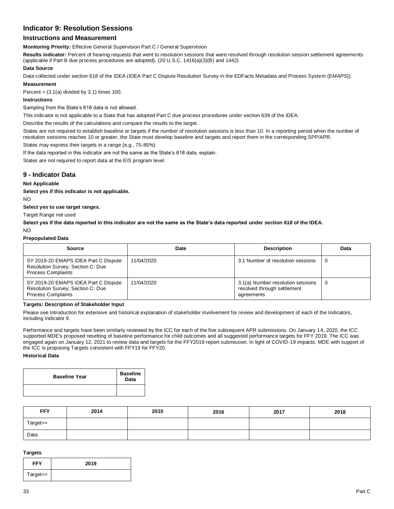# **Indicator 9: Resolution Sessions**

# **Instructions and Measurement**

**Monitoring Priority:** Effective General Supervision Part C / General Supervision

**Results indicator:** Percent of hearing requests that went to resolution sessions that were resolved through resolution session settlement agreements (applicable if Part B due process procedures are adopted). (20 U.S.C. 1416(a)(3)(B) and 1442)

#### **Data Source**

Data collected under section 618 of the IDEA (IDEA Part C Dispute Resolution Survey in the EDFacts Metadata and Process System (E*MAPS*)).

# **Measurement**

Percent =  $(3.1(a)$  divided by  $3.1$ ) times 100.

### **Instructions**

Sampling from the State's 618 data is not allowed.

This indicator is not applicable to a State that has adopted Part C due process procedures under section 639 of the IDEA.

Describe the results of the calculations and compare the results to the target.

States are not required to establish baseline or targets if the number of resolution sessions is less than 10. In a reporting period when the number of resolution sessions reaches 10 or greater, the State must develop baseline and targets and report them in the corresponding SPP/APR.

States may express their targets in a range (e.g., 75-85%).

If the data reported in this indicator are not the same as the State's 618 data, explain.

States are not required to report data at the EIS program level.

## **9 - Indicator Data**

#### **Not Applicable**

**Select yes if this indicator is not applicable.** 

NO

**Select yes to use target ranges.** 

Target Range not used

**Select yes if the data reported in this indicator are not the same as the State's data reported under section 618 of the IDEA.** 

#### NO

#### **Prepopulated Data**

| Source                                                                                                 | Date       | <b>Description</b>                                                             | Data |
|--------------------------------------------------------------------------------------------------------|------------|--------------------------------------------------------------------------------|------|
| SY 2019-20 EMAPS IDEA Part C Dispute<br>Resolution Survey; Section C: Due<br><b>Process Complaints</b> | 11/04/2020 | 3.1 Number of resolution sessions                                              | 0    |
| SY 2019-20 EMAPS IDEA Part C Dispute<br>Resolution Survey; Section C: Due<br><b>Process Complaints</b> | 11/04/2020 | 3.1(a) Number resolution sessions<br>resolved through settlement<br>agreements | 0    |

#### **Targets: Description of Stakeholder Input**

Please see Introduction for extensive and historical explanation of stakeholder involvement for review and development of each of the Indicators, including Indicator 9.

Performance and targets have been similarly reviewed by the ICC for each of the five subsequent APR submissions. On January 14, 2020, the ICC supported MDE's proposed resetting of baseline performance for child outcomes and all suggested performance targets for FFY 2019. The ICC was engaged again on January 12, 2021 to review data and targets for the FFY2019 report submission. In light of COVID-19 impacts, MDE with support of the ICC is proposing Targets consistent with FFY19 for FFY20.

## **Historical Data**

| <b>Baseline Year</b> | <b>Baseline</b><br>Data |
|----------------------|-------------------------|
|                      |                         |

| <b>FFY</b> | 2014 | 2015 | 2016 | 2017 | 2018 |
|------------|------|------|------|------|------|
| Target>=   |      |      |      |      |      |
| Data       |      |      |      |      |      |

#### **Targets**

| <b>FFY</b> | 2019 |
|------------|------|
| Target>=   |      |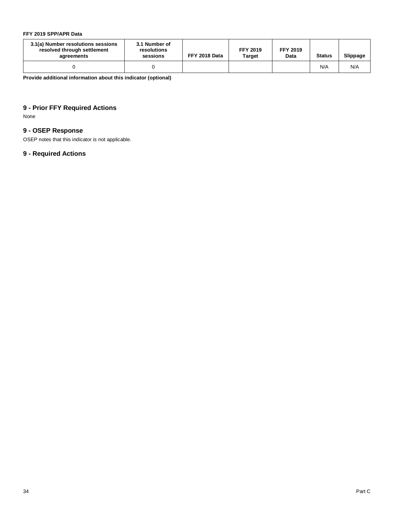# **FFY 2019 SPP/APR Data**

| 3.1(a) Number resolutions sessions<br>resolved through settlement<br>agreements | 3.1 Number of<br>resolutions<br>sessions | FFY 2018 Data | <b>FFY 2019</b><br><b>Target</b> | <b>FFY 2019</b><br>Data | <b>Status</b> | Slippage |
|---------------------------------------------------------------------------------|------------------------------------------|---------------|----------------------------------|-------------------------|---------------|----------|
|                                                                                 |                                          |               |                                  |                         | N/A           | N/A      |

**Provide additional information about this indicator (optional)** 

# **9 - Prior FFY Required Actions**

None

# **9 - OSEP Response**

OSEP notes that this indicator is not applicable.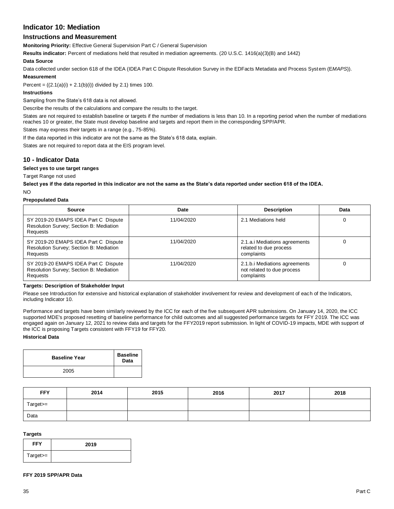# **Indicator 10: Mediation**

# **Instructions and Measurement**

**Monitoring Priority:** Effective General Supervision Part C / General Supervision

**Results indicator:** Percent of mediations held that resulted in mediation agreements. (20 U.S.C. 1416(a)(3)(B) and 1442)

#### **Data Source**

Data collected under section 618 of the IDEA (IDEA Part C Dispute Resolution Survey in the EDFacts Metadata and Process System (E*MAPS*)).

## **Measurement**

Percent =  $((2.1(a)(i) + 2.1(b)(i))$  divided by 2.1) times 100.

#### **Instructions**

Sampling from the State's 618 data is not allowed.

Describe the results of the calculations and compare the results to the target.

States are not required to establish baseline or targets if the number of mediations is less than 10. In a reporting period when the number of mediations reaches 10 or greater, the State must develop baseline and targets and report them in the corresponding SPP/APR.

States may express their targets in a range (e.g., 75-85%).

If the data reported in this indicator are not the same as the State's 618 data, explain.

States are not required to report data at the EIS program level.

## **10 - Indicator Data**

#### **Select yes to use target ranges**

Target Range not used

**Select yes if the data reported in this indicator are not the same as the State's data reported under section 618 of the IDEA.** 

#### NO

#### **Prepopulated Data**

| <b>Source</b>                                                                               | Date       | <b>Description</b>                                                        | Data |
|---------------------------------------------------------------------------------------------|------------|---------------------------------------------------------------------------|------|
| SY 2019-20 EMAPS IDEA Part C Dispute<br>Resolution Survey; Section B: Mediation<br>Requests | 11/04/2020 | 2.1 Mediations held                                                       |      |
| SY 2019-20 EMAPS IDEA Part C Dispute<br>Resolution Survey; Section B: Mediation<br>Requests | 11/04/2020 | 2.1.a.i Mediations agreements<br>related to due process<br>complaints     |      |
| SY 2019-20 EMAPS IDEA Part C Dispute<br>Resolution Survey; Section B: Mediation<br>Requests | 11/04/2020 | 2.1.b.i Mediations agreements<br>not related to due process<br>complaints |      |

#### **Targets: Description of Stakeholder Input**

Please see Introduction for extensive and historical explanation of stakeholder involvement for review and development of each of the Indicators, including Indicator 10.

Performance and targets have been similarly reviewed by the ICC for each of the five subsequent APR submissions. On January 14, 2020, the ICC supported MDE's proposed resetting of baseline performance for child outcomes and all suggested performance targets for FFY 2019. The ICC was engaged again on January 12, 2021 to review data and targets for the FFY2019 report submission. In light of COVID-19 impacts, MDE with support of the ICC is proposing Targets consistent with FFY19 for FFY20.

#### **Historical Data**

| <b>Baseline Year</b> | <b>Baseline</b><br>Data |
|----------------------|-------------------------|
| 2005                 |                         |

| <b>FFY</b> | 2014 | 2015 | 2016 | 2017 | 2018 |
|------------|------|------|------|------|------|
| Target>=   |      |      |      |      |      |
| Data       |      |      |      |      |      |

#### **Targets**

| <b>FFY</b>  | 2019 |
|-------------|------|
| $Target >=$ |      |

#### **FFY 2019 SPP/APR Data**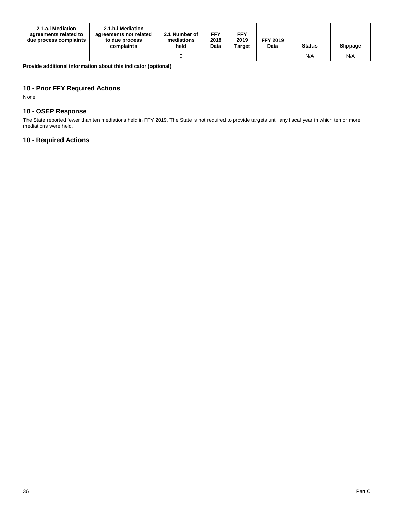| 2.1.a.i Mediation<br>agreements related to<br>due process complaints | 2.1.b.i Mediation<br>agreements not related<br>to due process<br>complaints | 2.1 Number of<br>mediations<br>held | <b>FFY</b><br>2018<br>Data | <b>FFY</b><br>2019<br><b>Target</b> | <b>FFY 2019</b><br>Data | <b>Status</b> | Slippage |
|----------------------------------------------------------------------|-----------------------------------------------------------------------------|-------------------------------------|----------------------------|-------------------------------------|-------------------------|---------------|----------|
|                                                                      |                                                                             |                                     |                            |                                     |                         | N/A           | N/A      |

**Provide additional information about this indicator (optional)** 

# **10 - Prior FFY Required Actions**

None

# **10 - OSEP Response**

The State reported fewer than ten mediations held in FFY 2019. The State is not required to provide targets until any fiscal year in which ten or more mediations were held.